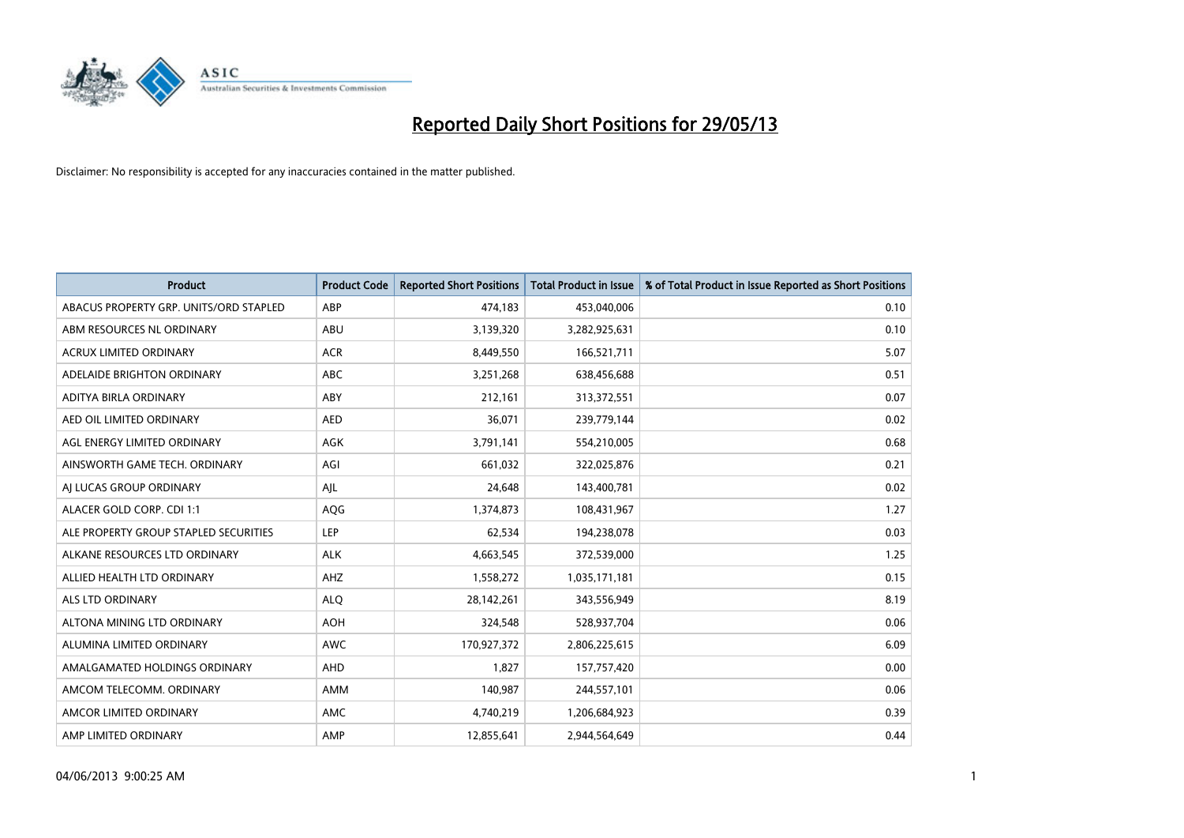

| <b>Product</b>                         | <b>Product Code</b> | <b>Reported Short Positions</b> | <b>Total Product in Issue</b> | % of Total Product in Issue Reported as Short Positions |
|----------------------------------------|---------------------|---------------------------------|-------------------------------|---------------------------------------------------------|
| ABACUS PROPERTY GRP. UNITS/ORD STAPLED | ABP                 | 474,183                         | 453,040,006                   | 0.10                                                    |
| ABM RESOURCES NL ORDINARY              | ABU                 | 3,139,320                       | 3,282,925,631                 | 0.10                                                    |
| <b>ACRUX LIMITED ORDINARY</b>          | <b>ACR</b>          | 8,449,550                       | 166,521,711                   | 5.07                                                    |
| ADELAIDE BRIGHTON ORDINARY             | <b>ABC</b>          | 3,251,268                       | 638,456,688                   | 0.51                                                    |
| ADITYA BIRLA ORDINARY                  | ABY                 | 212,161                         | 313,372,551                   | 0.07                                                    |
| AED OIL LIMITED ORDINARY               | <b>AED</b>          | 36,071                          | 239,779,144                   | 0.02                                                    |
| AGL ENERGY LIMITED ORDINARY            | AGK                 | 3,791,141                       | 554,210,005                   | 0.68                                                    |
| AINSWORTH GAME TECH. ORDINARY          | AGI                 | 661,032                         | 322,025,876                   | 0.21                                                    |
| AI LUCAS GROUP ORDINARY                | AJL                 | 24,648                          | 143,400,781                   | 0.02                                                    |
| ALACER GOLD CORP. CDI 1:1              | AQG                 | 1,374,873                       | 108,431,967                   | 1.27                                                    |
| ALE PROPERTY GROUP STAPLED SECURITIES  | <b>LEP</b>          | 62,534                          | 194,238,078                   | 0.03                                                    |
| ALKANE RESOURCES LTD ORDINARY          | <b>ALK</b>          | 4,663,545                       | 372,539,000                   | 1.25                                                    |
| ALLIED HEALTH LTD ORDINARY             | AHZ                 | 1,558,272                       | 1,035,171,181                 | 0.15                                                    |
| ALS LTD ORDINARY                       | <b>ALO</b>          | 28,142,261                      | 343,556,949                   | 8.19                                                    |
| ALTONA MINING LTD ORDINARY             | <b>AOH</b>          | 324,548                         | 528,937,704                   | 0.06                                                    |
| ALUMINA LIMITED ORDINARY               | <b>AWC</b>          | 170,927,372                     | 2,806,225,615                 | 6.09                                                    |
| AMALGAMATED HOLDINGS ORDINARY          | AHD                 | 1,827                           | 157,757,420                   | 0.00                                                    |
| AMCOM TELECOMM, ORDINARY               | AMM                 | 140,987                         | 244,557,101                   | 0.06                                                    |
| AMCOR LIMITED ORDINARY                 | AMC                 | 4,740,219                       | 1,206,684,923                 | 0.39                                                    |
| AMP LIMITED ORDINARY                   | AMP                 | 12,855,641                      | 2,944,564,649                 | 0.44                                                    |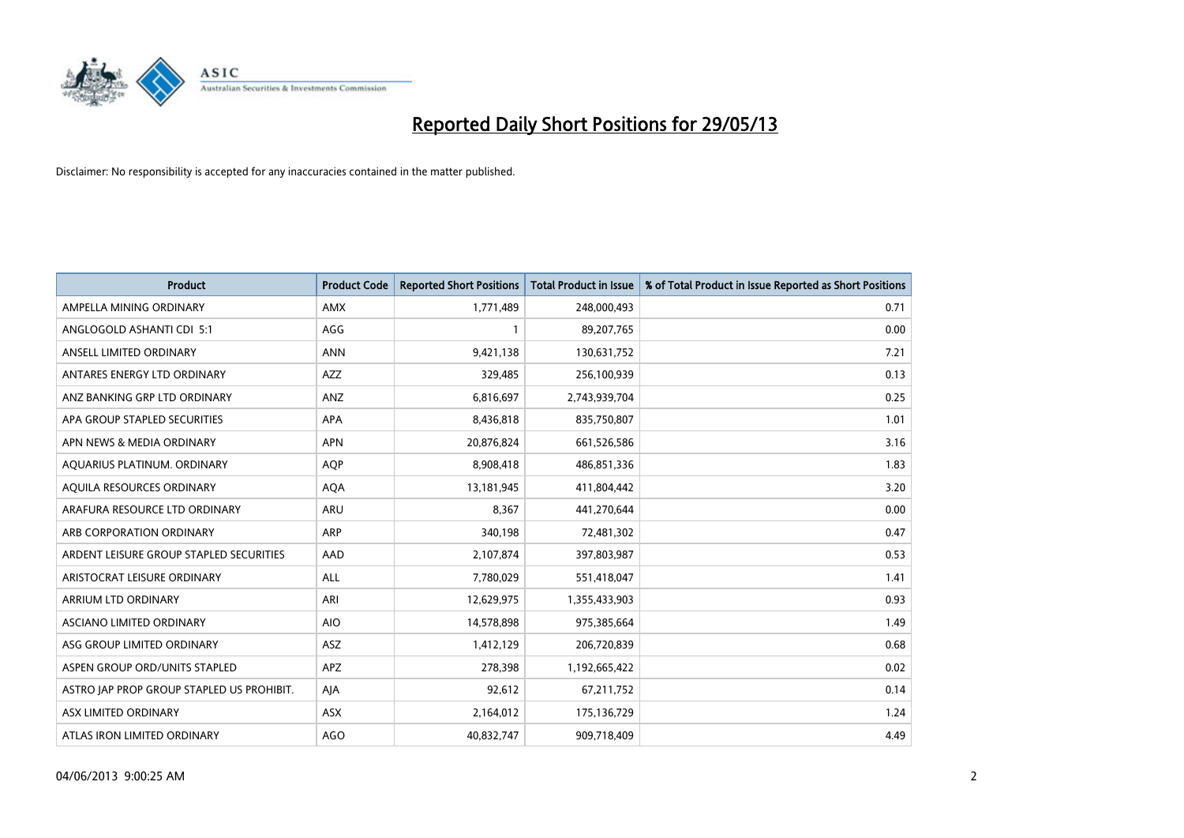

| <b>Product</b>                            | <b>Product Code</b> | <b>Reported Short Positions</b> | <b>Total Product in Issue</b> | % of Total Product in Issue Reported as Short Positions |
|-------------------------------------------|---------------------|---------------------------------|-------------------------------|---------------------------------------------------------|
| AMPELLA MINING ORDINARY                   | <b>AMX</b>          | 1,771,489                       | 248,000,493                   | 0.71                                                    |
| ANGLOGOLD ASHANTI CDI 5:1                 | AGG                 |                                 | 89,207,765                    | 0.00                                                    |
| ANSELL LIMITED ORDINARY                   | <b>ANN</b>          | 9,421,138                       | 130,631,752                   | 7.21                                                    |
| ANTARES ENERGY LTD ORDINARY               | AZZ                 | 329,485                         | 256,100,939                   | 0.13                                                    |
| ANZ BANKING GRP LTD ORDINARY              | ANZ                 | 6,816,697                       | 2,743,939,704                 | 0.25                                                    |
| APA GROUP STAPLED SECURITIES              | <b>APA</b>          | 8,436,818                       | 835,750,807                   | 1.01                                                    |
| APN NEWS & MEDIA ORDINARY                 | <b>APN</b>          | 20,876,824                      | 661,526,586                   | 3.16                                                    |
| AQUARIUS PLATINUM. ORDINARY               | <b>AOP</b>          | 8,908,418                       | 486,851,336                   | 1.83                                                    |
| AQUILA RESOURCES ORDINARY                 | <b>AQA</b>          | 13,181,945                      | 411,804,442                   | 3.20                                                    |
| ARAFURA RESOURCE LTD ORDINARY             | <b>ARU</b>          | 8,367                           | 441,270,644                   | 0.00                                                    |
| ARB CORPORATION ORDINARY                  | ARP                 | 340,198                         | 72,481,302                    | 0.47                                                    |
| ARDENT LEISURE GROUP STAPLED SECURITIES   | AAD                 | 2,107,874                       | 397,803,987                   | 0.53                                                    |
| ARISTOCRAT LEISURE ORDINARY               | ALL                 | 7,780,029                       | 551,418,047                   | 1.41                                                    |
| ARRIUM LTD ORDINARY                       | ARI                 | 12,629,975                      | 1,355,433,903                 | 0.93                                                    |
| ASCIANO LIMITED ORDINARY                  | <b>AIO</b>          | 14,578,898                      | 975,385,664                   | 1.49                                                    |
| ASG GROUP LIMITED ORDINARY                | ASZ                 | 1,412,129                       | 206,720,839                   | 0.68                                                    |
| ASPEN GROUP ORD/UNITS STAPLED             | APZ                 | 278,398                         | 1,192,665,422                 | 0.02                                                    |
| ASTRO JAP PROP GROUP STAPLED US PROHIBIT. | AJA                 | 92,612                          | 67,211,752                    | 0.14                                                    |
| ASX LIMITED ORDINARY                      | ASX                 | 2,164,012                       | 175,136,729                   | 1.24                                                    |
| ATLAS IRON LIMITED ORDINARY               | <b>AGO</b>          | 40,832,747                      | 909,718,409                   | 4.49                                                    |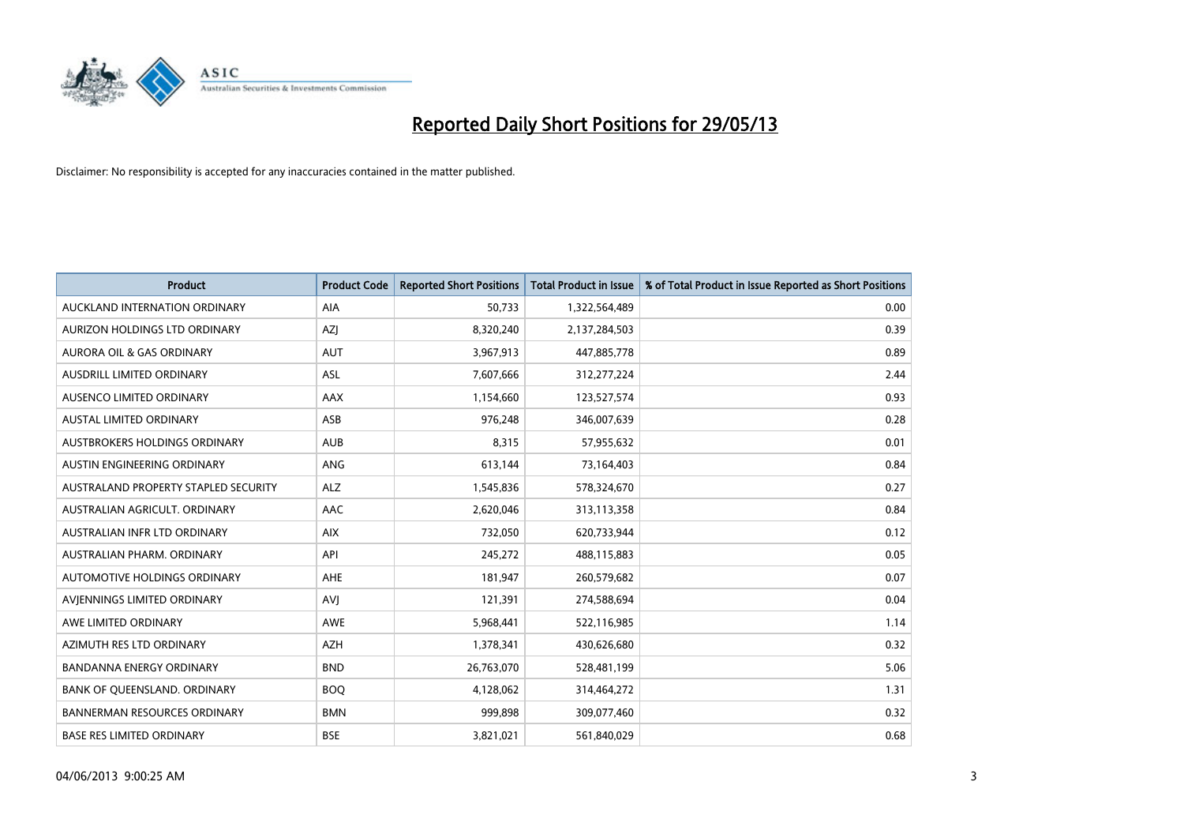

| <b>Product</b>                       | <b>Product Code</b> | <b>Reported Short Positions</b> | <b>Total Product in Issue</b> | % of Total Product in Issue Reported as Short Positions |
|--------------------------------------|---------------------|---------------------------------|-------------------------------|---------------------------------------------------------|
| AUCKLAND INTERNATION ORDINARY        | AIA                 | 50,733                          | 1,322,564,489                 | 0.00                                                    |
| AURIZON HOLDINGS LTD ORDINARY        | AZJ                 | 8,320,240                       | 2,137,284,503                 | 0.39                                                    |
| AURORA OIL & GAS ORDINARY            | AUT                 | 3,967,913                       | 447,885,778                   | 0.89                                                    |
| AUSDRILL LIMITED ORDINARY            | <b>ASL</b>          | 7,607,666                       | 312,277,224                   | 2.44                                                    |
| AUSENCO LIMITED ORDINARY             | <b>AAX</b>          | 1,154,660                       | 123,527,574                   | 0.93                                                    |
| <b>AUSTAL LIMITED ORDINARY</b>       | ASB                 | 976,248                         | 346,007,639                   | 0.28                                                    |
| AUSTBROKERS HOLDINGS ORDINARY        | <b>AUB</b>          | 8,315                           | 57,955,632                    | 0.01                                                    |
| AUSTIN ENGINEERING ORDINARY          | ANG                 | 613,144                         | 73,164,403                    | 0.84                                                    |
| AUSTRALAND PROPERTY STAPLED SECURITY | <b>ALZ</b>          | 1,545,836                       | 578,324,670                   | 0.27                                                    |
| AUSTRALIAN AGRICULT, ORDINARY        | AAC                 | 2,620,046                       | 313,113,358                   | 0.84                                                    |
| AUSTRALIAN INFR LTD ORDINARY         | <b>AIX</b>          | 732,050                         | 620,733,944                   | 0.12                                                    |
| AUSTRALIAN PHARM. ORDINARY           | API                 | 245,272                         | 488,115,883                   | 0.05                                                    |
| <b>AUTOMOTIVE HOLDINGS ORDINARY</b>  | <b>AHE</b>          | 181,947                         | 260,579,682                   | 0.07                                                    |
| AVIENNINGS LIMITED ORDINARY          | AVI                 | 121,391                         | 274,588,694                   | 0.04                                                    |
| AWE LIMITED ORDINARY                 | <b>AWE</b>          | 5,968,441                       | 522,116,985                   | 1.14                                                    |
| AZIMUTH RES LTD ORDINARY             | <b>AZH</b>          | 1,378,341                       | 430,626,680                   | 0.32                                                    |
| BANDANNA ENERGY ORDINARY             | <b>BND</b>          | 26,763,070                      | 528,481,199                   | 5.06                                                    |
| BANK OF QUEENSLAND. ORDINARY         | <b>BOQ</b>          | 4,128,062                       | 314,464,272                   | 1.31                                                    |
| <b>BANNERMAN RESOURCES ORDINARY</b>  | <b>BMN</b>          | 999,898                         | 309,077,460                   | 0.32                                                    |
| <b>BASE RES LIMITED ORDINARY</b>     | <b>BSE</b>          | 3,821,021                       | 561,840,029                   | 0.68                                                    |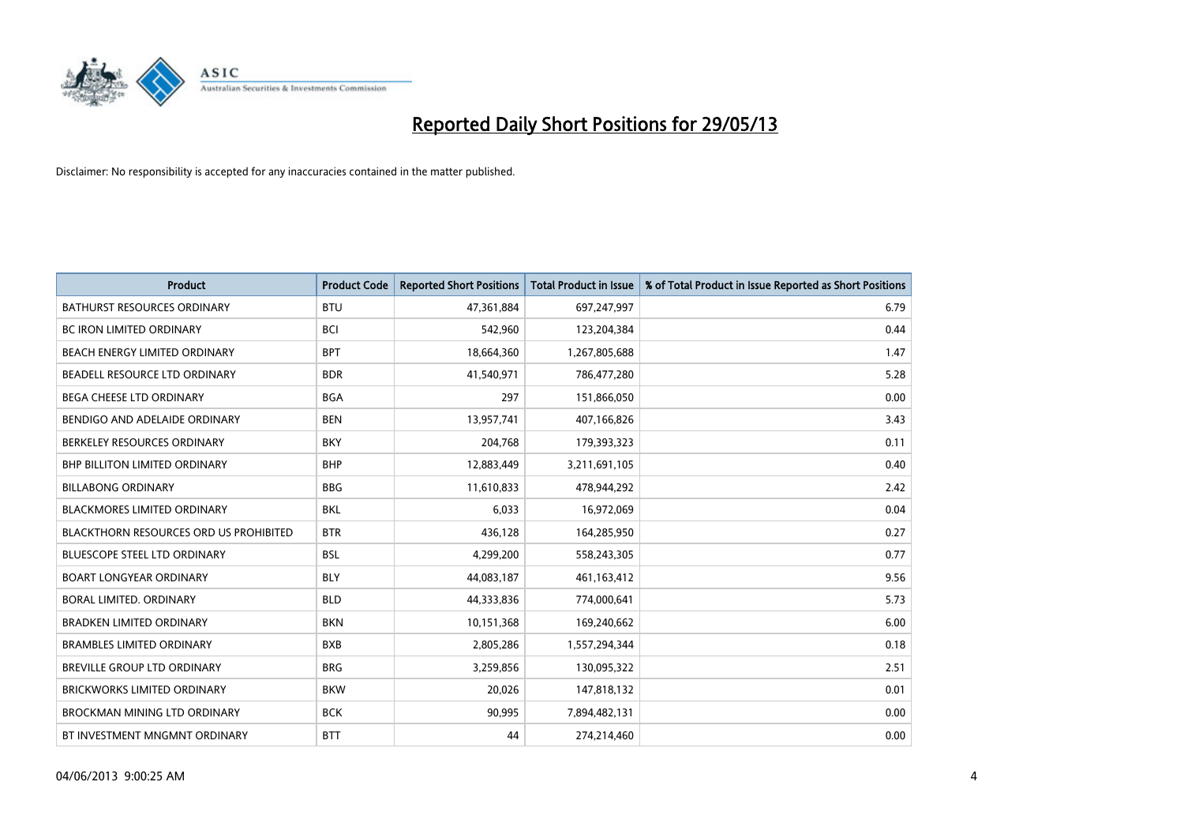

| <b>Product</b>                         | <b>Product Code</b> | <b>Reported Short Positions</b> | <b>Total Product in Issue</b> | % of Total Product in Issue Reported as Short Positions |
|----------------------------------------|---------------------|---------------------------------|-------------------------------|---------------------------------------------------------|
| <b>BATHURST RESOURCES ORDINARY</b>     | <b>BTU</b>          | 47,361,884                      | 697,247,997                   | 6.79                                                    |
| BC IRON LIMITED ORDINARY               | <b>BCI</b>          | 542,960                         | 123,204,384                   | 0.44                                                    |
| BEACH ENERGY LIMITED ORDINARY          | <b>BPT</b>          | 18,664,360                      | 1,267,805,688                 | 1.47                                                    |
| BEADELL RESOURCE LTD ORDINARY          | <b>BDR</b>          | 41,540,971                      | 786,477,280                   | 5.28                                                    |
| <b>BEGA CHEESE LTD ORDINARY</b>        | <b>BGA</b>          | 297                             | 151,866,050                   | 0.00                                                    |
| BENDIGO AND ADELAIDE ORDINARY          | <b>BEN</b>          | 13,957,741                      | 407,166,826                   | 3.43                                                    |
| BERKELEY RESOURCES ORDINARY            | <b>BKY</b>          | 204,768                         | 179,393,323                   | 0.11                                                    |
| <b>BHP BILLITON LIMITED ORDINARY</b>   | <b>BHP</b>          | 12,883,449                      | 3,211,691,105                 | 0.40                                                    |
| <b>BILLABONG ORDINARY</b>              | <b>BBG</b>          | 11,610,833                      | 478,944,292                   | 2.42                                                    |
| <b>BLACKMORES LIMITED ORDINARY</b>     | <b>BKL</b>          | 6,033                           | 16,972,069                    | 0.04                                                    |
| BLACKTHORN RESOURCES ORD US PROHIBITED | <b>BTR</b>          | 436,128                         | 164,285,950                   | 0.27                                                    |
| <b>BLUESCOPE STEEL LTD ORDINARY</b>    | <b>BSL</b>          | 4,299,200                       | 558,243,305                   | 0.77                                                    |
| <b>BOART LONGYEAR ORDINARY</b>         | <b>BLY</b>          | 44,083,187                      | 461,163,412                   | 9.56                                                    |
| <b>BORAL LIMITED, ORDINARY</b>         | <b>BLD</b>          | 44,333,836                      | 774,000,641                   | 5.73                                                    |
| <b>BRADKEN LIMITED ORDINARY</b>        | <b>BKN</b>          | 10,151,368                      | 169,240,662                   | 6.00                                                    |
| <b>BRAMBLES LIMITED ORDINARY</b>       | <b>BXB</b>          | 2,805,286                       | 1,557,294,344                 | 0.18                                                    |
| BREVILLE GROUP LTD ORDINARY            | <b>BRG</b>          | 3,259,856                       | 130,095,322                   | 2.51                                                    |
| <b>BRICKWORKS LIMITED ORDINARY</b>     | <b>BKW</b>          | 20,026                          | 147,818,132                   | 0.01                                                    |
| <b>BROCKMAN MINING LTD ORDINARY</b>    | <b>BCK</b>          | 90,995                          | 7,894,482,131                 | 0.00                                                    |
| BT INVESTMENT MNGMNT ORDINARY          | <b>BTT</b>          | 44                              | 274,214,460                   | 0.00                                                    |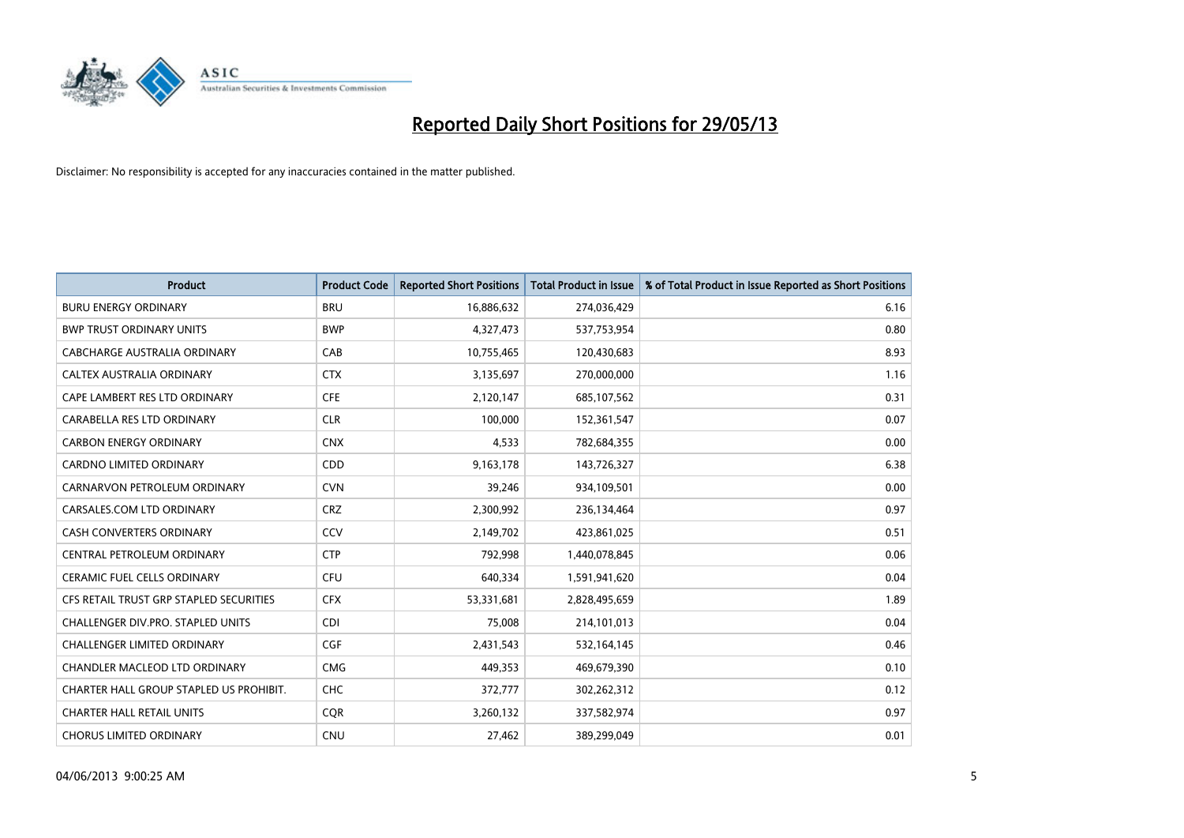

| <b>Product</b>                          | <b>Product Code</b> | <b>Reported Short Positions</b> | <b>Total Product in Issue</b> | % of Total Product in Issue Reported as Short Positions |
|-----------------------------------------|---------------------|---------------------------------|-------------------------------|---------------------------------------------------------|
| <b>BURU ENERGY ORDINARY</b>             | <b>BRU</b>          | 16,886,632                      | 274,036,429                   | 6.16                                                    |
| <b>BWP TRUST ORDINARY UNITS</b>         | <b>BWP</b>          | 4,327,473                       | 537,753,954                   | 0.80                                                    |
| CABCHARGE AUSTRALIA ORDINARY            | CAB                 | 10,755,465                      | 120,430,683                   | 8.93                                                    |
| CALTEX AUSTRALIA ORDINARY               | <b>CTX</b>          | 3,135,697                       | 270,000,000                   | 1.16                                                    |
| CAPE LAMBERT RES LTD ORDINARY           | <b>CFE</b>          | 2,120,147                       | 685,107,562                   | 0.31                                                    |
| CARABELLA RES LTD ORDINARY              | <b>CLR</b>          | 100,000                         | 152,361,547                   | 0.07                                                    |
| <b>CARBON ENERGY ORDINARY</b>           | <b>CNX</b>          | 4,533                           | 782,684,355                   | 0.00                                                    |
| CARDNO LIMITED ORDINARY                 | CDD                 | 9,163,178                       | 143,726,327                   | 6.38                                                    |
| CARNARVON PETROLEUM ORDINARY            | <b>CVN</b>          | 39,246                          | 934,109,501                   | 0.00                                                    |
| CARSALES.COM LTD ORDINARY               | <b>CRZ</b>          | 2,300,992                       | 236,134,464                   | 0.97                                                    |
| CASH CONVERTERS ORDINARY                | CCV                 | 2,149,702                       | 423,861,025                   | 0.51                                                    |
| CENTRAL PETROLEUM ORDINARY              | <b>CTP</b>          | 792,998                         | 1,440,078,845                 | 0.06                                                    |
| <b>CERAMIC FUEL CELLS ORDINARY</b>      | <b>CFU</b>          | 640,334                         | 1,591,941,620                 | 0.04                                                    |
| CFS RETAIL TRUST GRP STAPLED SECURITIES | <b>CFX</b>          | 53,331,681                      | 2,828,495,659                 | 1.89                                                    |
| CHALLENGER DIV.PRO. STAPLED UNITS       | <b>CDI</b>          | 75,008                          | 214,101,013                   | 0.04                                                    |
| CHALLENGER LIMITED ORDINARY             | <b>CGF</b>          | 2,431,543                       | 532,164,145                   | 0.46                                                    |
| CHANDLER MACLEOD LTD ORDINARY           | <b>CMG</b>          | 449,353                         | 469,679,390                   | 0.10                                                    |
| CHARTER HALL GROUP STAPLED US PROHIBIT. | <b>CHC</b>          | 372,777                         | 302,262,312                   | 0.12                                                    |
| <b>CHARTER HALL RETAIL UNITS</b>        | <b>CQR</b>          | 3,260,132                       | 337,582,974                   | 0.97                                                    |
| <b>CHORUS LIMITED ORDINARY</b>          | <b>CNU</b>          | 27,462                          | 389,299,049                   | 0.01                                                    |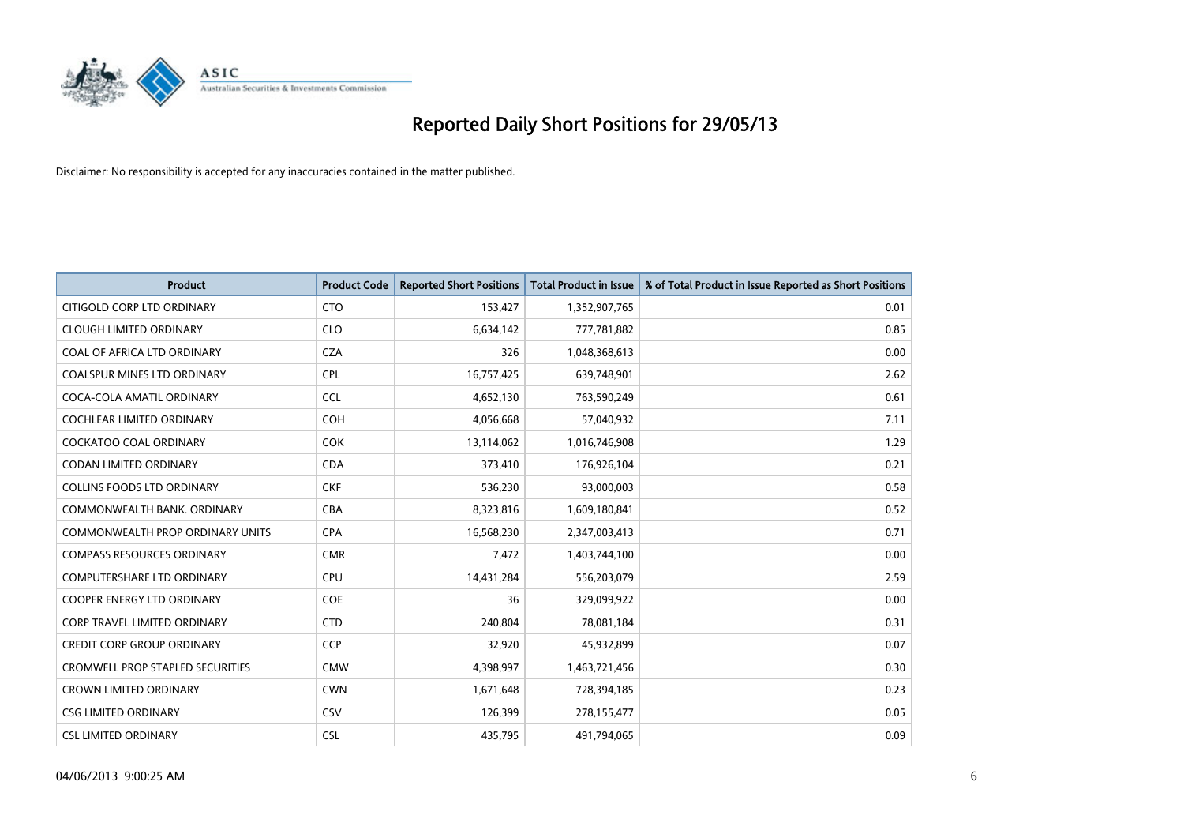

| <b>Product</b>                    | <b>Product Code</b> | <b>Reported Short Positions</b> | <b>Total Product in Issue</b> | % of Total Product in Issue Reported as Short Positions |
|-----------------------------------|---------------------|---------------------------------|-------------------------------|---------------------------------------------------------|
| CITIGOLD CORP LTD ORDINARY        | <b>CTO</b>          | 153,427                         | 1,352,907,765                 | 0.01                                                    |
| <b>CLOUGH LIMITED ORDINARY</b>    | <b>CLO</b>          | 6,634,142                       | 777,781,882                   | 0.85                                                    |
| COAL OF AFRICA LTD ORDINARY       | <b>CZA</b>          | 326                             | 1,048,368,613                 | 0.00                                                    |
| COALSPUR MINES LTD ORDINARY       | <b>CPL</b>          | 16,757,425                      | 639,748,901                   | 2.62                                                    |
| COCA-COLA AMATIL ORDINARY         | <b>CCL</b>          | 4,652,130                       | 763,590,249                   | 0.61                                                    |
| <b>COCHLEAR LIMITED ORDINARY</b>  | <b>COH</b>          | 4,056,668                       | 57,040,932                    | 7.11                                                    |
| <b>COCKATOO COAL ORDINARY</b>     | <b>COK</b>          | 13,114,062                      | 1,016,746,908                 | 1.29                                                    |
| CODAN LIMITED ORDINARY            | <b>CDA</b>          | 373,410                         | 176,926,104                   | 0.21                                                    |
| <b>COLLINS FOODS LTD ORDINARY</b> | <b>CKF</b>          | 536,230                         | 93,000,003                    | 0.58                                                    |
| COMMONWEALTH BANK, ORDINARY       | <b>CBA</b>          | 8,323,816                       | 1,609,180,841                 | 0.52                                                    |
| COMMONWEALTH PROP ORDINARY UNITS  | <b>CPA</b>          | 16,568,230                      | 2,347,003,413                 | 0.71                                                    |
| <b>COMPASS RESOURCES ORDINARY</b> | <b>CMR</b>          | 7,472                           | 1,403,744,100                 | 0.00                                                    |
| COMPUTERSHARE LTD ORDINARY        | <b>CPU</b>          | 14,431,284                      | 556,203,079                   | 2.59                                                    |
| <b>COOPER ENERGY LTD ORDINARY</b> | <b>COE</b>          | 36                              | 329,099,922                   | 0.00                                                    |
| CORP TRAVEL LIMITED ORDINARY      | <b>CTD</b>          | 240,804                         | 78,081,184                    | 0.31                                                    |
| <b>CREDIT CORP GROUP ORDINARY</b> | <b>CCP</b>          | 32,920                          | 45,932,899                    | 0.07                                                    |
| CROMWELL PROP STAPLED SECURITIES  | <b>CMW</b>          | 4,398,997                       | 1,463,721,456                 | 0.30                                                    |
| <b>CROWN LIMITED ORDINARY</b>     | <b>CWN</b>          | 1,671,648                       | 728,394,185                   | 0.23                                                    |
| <b>CSG LIMITED ORDINARY</b>       | <b>CSV</b>          | 126,399                         | 278,155,477                   | 0.05                                                    |
| <b>CSL LIMITED ORDINARY</b>       | <b>CSL</b>          | 435,795                         | 491,794,065                   | 0.09                                                    |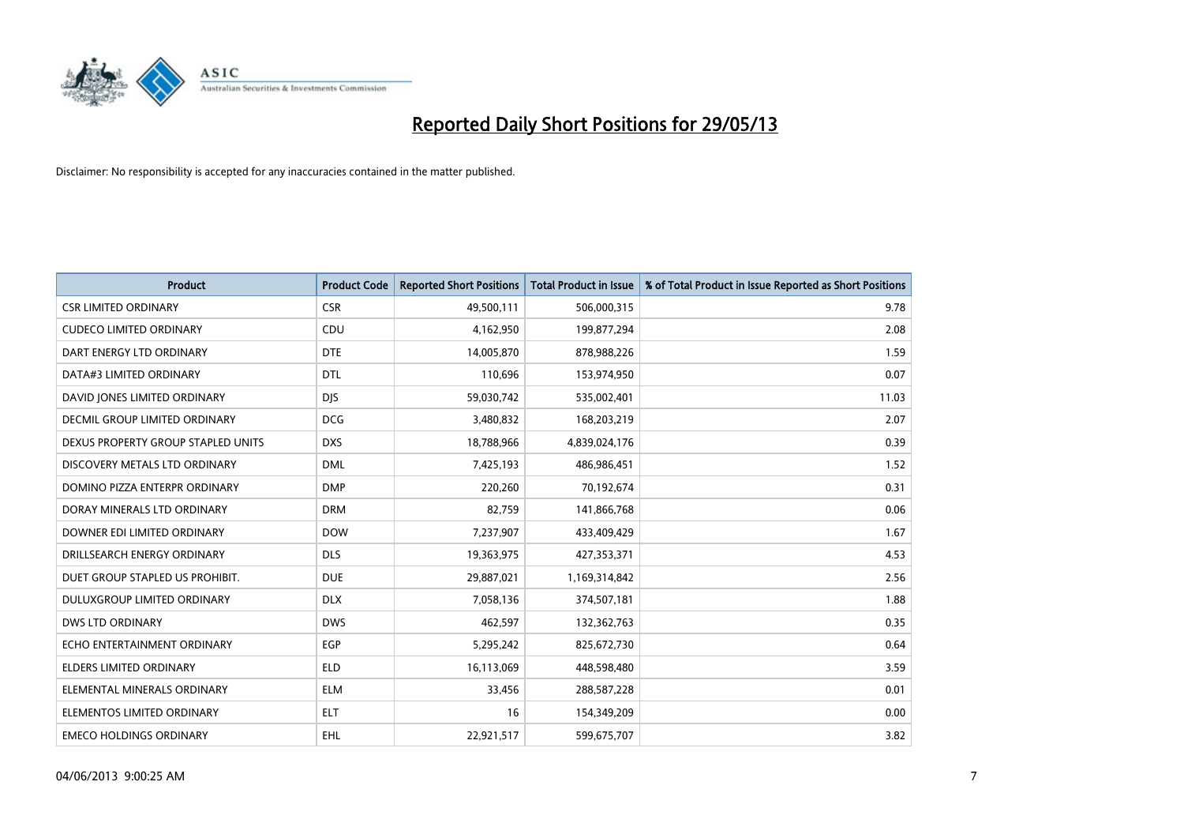

| <b>Product</b>                     | <b>Product Code</b> | <b>Reported Short Positions</b> | <b>Total Product in Issue</b> | % of Total Product in Issue Reported as Short Positions |
|------------------------------------|---------------------|---------------------------------|-------------------------------|---------------------------------------------------------|
| <b>CSR LIMITED ORDINARY</b>        | <b>CSR</b>          | 49,500,111                      | 506,000,315                   | 9.78                                                    |
| <b>CUDECO LIMITED ORDINARY</b>     | <b>CDU</b>          | 4,162,950                       | 199,877,294                   | 2.08                                                    |
| DART ENERGY LTD ORDINARY           | <b>DTE</b>          | 14,005,870                      | 878,988,226                   | 1.59                                                    |
| DATA#3 LIMITED ORDINARY            | <b>DTL</b>          | 110,696                         | 153,974,950                   | 0.07                                                    |
| DAVID JONES LIMITED ORDINARY       | <b>DJS</b>          | 59,030,742                      | 535,002,401                   | 11.03                                                   |
| DECMIL GROUP LIMITED ORDINARY      | <b>DCG</b>          | 3,480,832                       | 168,203,219                   | 2.07                                                    |
| DEXUS PROPERTY GROUP STAPLED UNITS | <b>DXS</b>          | 18,788,966                      | 4,839,024,176                 | 0.39                                                    |
| DISCOVERY METALS LTD ORDINARY      | <b>DML</b>          | 7,425,193                       | 486,986,451                   | 1.52                                                    |
| DOMINO PIZZA ENTERPR ORDINARY      | <b>DMP</b>          | 220,260                         | 70,192,674                    | 0.31                                                    |
| DORAY MINERALS LTD ORDINARY        | <b>DRM</b>          | 82,759                          | 141,866,768                   | 0.06                                                    |
| DOWNER EDI LIMITED ORDINARY        | <b>DOW</b>          | 7,237,907                       | 433,409,429                   | 1.67                                                    |
| DRILLSEARCH ENERGY ORDINARY        | <b>DLS</b>          | 19,363,975                      | 427,353,371                   | 4.53                                                    |
| DUET GROUP STAPLED US PROHIBIT.    | <b>DUE</b>          | 29,887,021                      | 1,169,314,842                 | 2.56                                                    |
| DULUXGROUP LIMITED ORDINARY        | <b>DLX</b>          | 7,058,136                       | 374,507,181                   | 1.88                                                    |
| <b>DWS LTD ORDINARY</b>            | <b>DWS</b>          | 462,597                         | 132,362,763                   | 0.35                                                    |
| ECHO ENTERTAINMENT ORDINARY        | <b>EGP</b>          | 5,295,242                       | 825,672,730                   | 0.64                                                    |
| ELDERS LIMITED ORDINARY            | <b>ELD</b>          | 16,113,069                      | 448,598,480                   | 3.59                                                    |
| ELEMENTAL MINERALS ORDINARY        | <b>ELM</b>          | 33,456                          | 288,587,228                   | 0.01                                                    |
| ELEMENTOS LIMITED ORDINARY         | <b>ELT</b>          | 16                              | 154,349,209                   | 0.00                                                    |
| <b>EMECO HOLDINGS ORDINARY</b>     | <b>EHL</b>          | 22,921,517                      | 599,675,707                   | 3.82                                                    |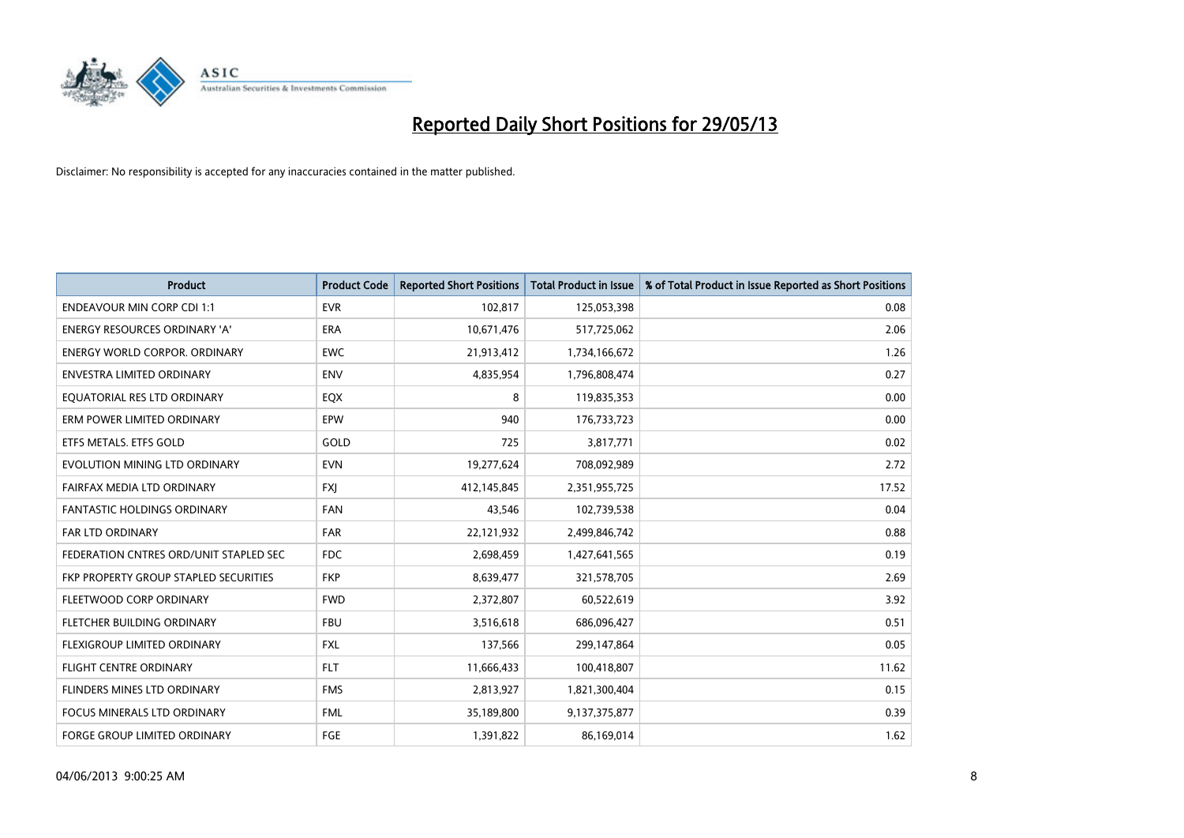

| <b>Product</b>                         | <b>Product Code</b> | <b>Reported Short Positions</b> | <b>Total Product in Issue</b> | % of Total Product in Issue Reported as Short Positions |
|----------------------------------------|---------------------|---------------------------------|-------------------------------|---------------------------------------------------------|
| <b>ENDEAVOUR MIN CORP CDI 1:1</b>      | <b>EVR</b>          | 102,817                         | 125,053,398                   | 0.08                                                    |
| ENERGY RESOURCES ORDINARY 'A'          | ERA                 | 10,671,476                      | 517,725,062                   | 2.06                                                    |
| <b>ENERGY WORLD CORPOR, ORDINARY</b>   | <b>EWC</b>          | 21,913,412                      | 1,734,166,672                 | 1.26                                                    |
| ENVESTRA LIMITED ORDINARY              | <b>ENV</b>          | 4,835,954                       | 1,796,808,474                 | 0.27                                                    |
| EQUATORIAL RES LTD ORDINARY            | EQX                 | 8                               | 119,835,353                   | 0.00                                                    |
| ERM POWER LIMITED ORDINARY             | EPW                 | 940                             | 176,733,723                   | 0.00                                                    |
| ETFS METALS. ETFS GOLD                 | GOLD                | 725                             | 3,817,771                     | 0.02                                                    |
| EVOLUTION MINING LTD ORDINARY          | <b>EVN</b>          | 19,277,624                      | 708,092,989                   | 2.72                                                    |
| FAIRFAX MEDIA LTD ORDINARY             | <b>FXI</b>          | 412,145,845                     | 2,351,955,725                 | 17.52                                                   |
| <b>FANTASTIC HOLDINGS ORDINARY</b>     | <b>FAN</b>          | 43,546                          | 102,739,538                   | 0.04                                                    |
| FAR LTD ORDINARY                       | FAR                 | 22,121,932                      | 2,499,846,742                 | 0.88                                                    |
| FEDERATION CNTRES ORD/UNIT STAPLED SEC | <b>FDC</b>          | 2,698,459                       | 1,427,641,565                 | 0.19                                                    |
| FKP PROPERTY GROUP STAPLED SECURITIES  | <b>FKP</b>          | 8,639,477                       | 321,578,705                   | 2.69                                                    |
| FLEETWOOD CORP ORDINARY                | <b>FWD</b>          | 2,372,807                       | 60,522,619                    | 3.92                                                    |
| FLETCHER BUILDING ORDINARY             | <b>FBU</b>          | 3,516,618                       | 686,096,427                   | 0.51                                                    |
| FLEXIGROUP LIMITED ORDINARY            | <b>FXL</b>          | 137,566                         | 299,147,864                   | 0.05                                                    |
| FLIGHT CENTRE ORDINARY                 | <b>FLT</b>          | 11,666,433                      | 100,418,807                   | 11.62                                                   |
| FLINDERS MINES LTD ORDINARY            | <b>FMS</b>          | 2,813,927                       | 1,821,300,404                 | 0.15                                                    |
| <b>FOCUS MINERALS LTD ORDINARY</b>     | <b>FML</b>          | 35,189,800                      | 9,137,375,877                 | 0.39                                                    |
| <b>FORGE GROUP LIMITED ORDINARY</b>    | FGE                 | 1,391,822                       | 86,169,014                    | 1.62                                                    |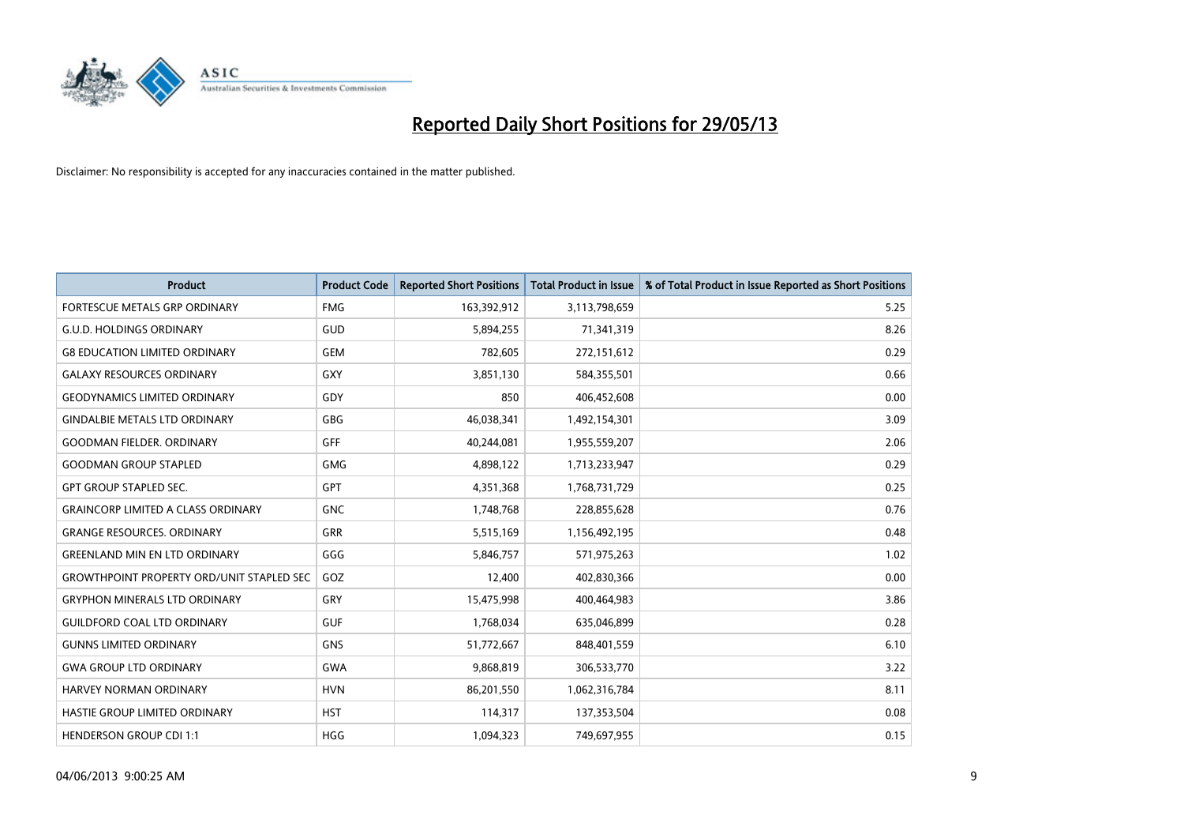

| <b>Product</b>                                   | <b>Product Code</b> | <b>Reported Short Positions</b> | <b>Total Product in Issue</b> | % of Total Product in Issue Reported as Short Positions |
|--------------------------------------------------|---------------------|---------------------------------|-------------------------------|---------------------------------------------------------|
| FORTESCUE METALS GRP ORDINARY                    | <b>FMG</b>          | 163,392,912                     | 3,113,798,659                 | 5.25                                                    |
| <b>G.U.D. HOLDINGS ORDINARY</b>                  | <b>GUD</b>          | 5,894,255                       | 71,341,319                    | 8.26                                                    |
| <b>G8 EDUCATION LIMITED ORDINARY</b>             | <b>GEM</b>          | 782,605                         | 272,151,612                   | 0.29                                                    |
| <b>GALAXY RESOURCES ORDINARY</b>                 | GXY                 | 3,851,130                       | 584,355,501                   | 0.66                                                    |
| <b>GEODYNAMICS LIMITED ORDINARY</b>              | GDY                 | 850                             | 406,452,608                   | 0.00                                                    |
| <b>GINDALBIE METALS LTD ORDINARY</b>             | <b>GBG</b>          | 46,038,341                      | 1,492,154,301                 | 3.09                                                    |
| <b>GOODMAN FIELDER. ORDINARY</b>                 | GFF                 | 40,244,081                      | 1,955,559,207                 | 2.06                                                    |
| <b>GOODMAN GROUP STAPLED</b>                     | <b>GMG</b>          | 4,898,122                       | 1,713,233,947                 | 0.29                                                    |
| <b>GPT GROUP STAPLED SEC.</b>                    | <b>GPT</b>          | 4,351,368                       | 1,768,731,729                 | 0.25                                                    |
| <b>GRAINCORP LIMITED A CLASS ORDINARY</b>        | <b>GNC</b>          | 1,748,768                       | 228,855,628                   | 0.76                                                    |
| <b>GRANGE RESOURCES. ORDINARY</b>                | GRR                 | 5,515,169                       | 1,156,492,195                 | 0.48                                                    |
| <b>GREENLAND MIN EN LTD ORDINARY</b>             | GGG                 | 5,846,757                       | 571,975,263                   | 1.02                                                    |
| <b>GROWTHPOINT PROPERTY ORD/UNIT STAPLED SEC</b> | GOZ                 | 12,400                          | 402,830,366                   | 0.00                                                    |
| <b>GRYPHON MINERALS LTD ORDINARY</b>             | GRY                 | 15,475,998                      | 400,464,983                   | 3.86                                                    |
| <b>GUILDFORD COAL LTD ORDINARY</b>               | <b>GUF</b>          | 1,768,034                       | 635,046,899                   | 0.28                                                    |
| <b>GUNNS LIMITED ORDINARY</b>                    | <b>GNS</b>          | 51,772,667                      | 848,401,559                   | 6.10                                                    |
| <b>GWA GROUP LTD ORDINARY</b>                    | GWA                 | 9,868,819                       | 306,533,770                   | 3.22                                                    |
| <b>HARVEY NORMAN ORDINARY</b>                    | <b>HVN</b>          | 86,201,550                      | 1,062,316,784                 | 8.11                                                    |
| HASTIE GROUP LIMITED ORDINARY                    | <b>HST</b>          | 114,317                         | 137,353,504                   | 0.08                                                    |
| <b>HENDERSON GROUP CDI 1:1</b>                   | <b>HGG</b>          | 1,094,323                       | 749,697,955                   | 0.15                                                    |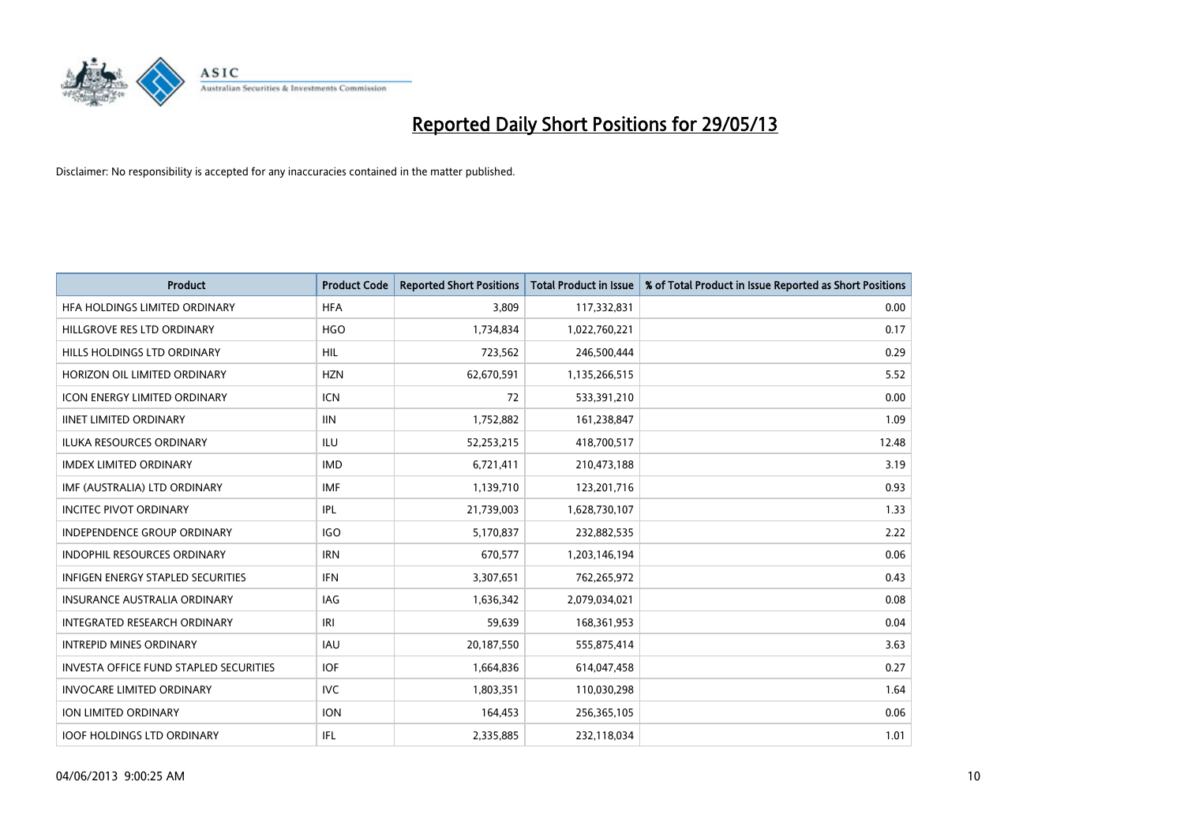

| <b>Product</b>                         | <b>Product Code</b> | <b>Reported Short Positions</b> | <b>Total Product in Issue</b> | % of Total Product in Issue Reported as Short Positions |
|----------------------------------------|---------------------|---------------------------------|-------------------------------|---------------------------------------------------------|
| HFA HOLDINGS LIMITED ORDINARY          | <b>HFA</b>          | 3,809                           | 117,332,831                   | 0.00                                                    |
| HILLGROVE RES LTD ORDINARY             | <b>HGO</b>          | 1,734,834                       | 1,022,760,221                 | 0.17                                                    |
| HILLS HOLDINGS LTD ORDINARY            | <b>HIL</b>          | 723,562                         | 246,500,444                   | 0.29                                                    |
| HORIZON OIL LIMITED ORDINARY           | <b>HZN</b>          | 62,670,591                      | 1,135,266,515                 | 5.52                                                    |
| <b>ICON ENERGY LIMITED ORDINARY</b>    | <b>ICN</b>          | 72                              | 533,391,210                   | 0.00                                                    |
| <b>IINET LIMITED ORDINARY</b>          | <b>IIN</b>          | 1,752,882                       | 161,238,847                   | 1.09                                                    |
| <b>ILUKA RESOURCES ORDINARY</b>        | ILU                 | 52,253,215                      | 418,700,517                   | 12.48                                                   |
| <b>IMDEX LIMITED ORDINARY</b>          | <b>IMD</b>          | 6,721,411                       | 210,473,188                   | 3.19                                                    |
| IMF (AUSTRALIA) LTD ORDINARY           | <b>IMF</b>          | 1,139,710                       | 123,201,716                   | 0.93                                                    |
| <b>INCITEC PIVOT ORDINARY</b>          | IPL                 | 21,739,003                      | 1,628,730,107                 | 1.33                                                    |
| INDEPENDENCE GROUP ORDINARY            | <b>IGO</b>          | 5,170,837                       | 232,882,535                   | 2.22                                                    |
| <b>INDOPHIL RESOURCES ORDINARY</b>     | <b>IRN</b>          | 670,577                         | 1,203,146,194                 | 0.06                                                    |
| INFIGEN ENERGY STAPLED SECURITIES      | <b>IFN</b>          | 3,307,651                       | 762,265,972                   | 0.43                                                    |
| <b>INSURANCE AUSTRALIA ORDINARY</b>    | IAG                 | 1,636,342                       | 2,079,034,021                 | 0.08                                                    |
| INTEGRATED RESEARCH ORDINARY           | IRI                 | 59,639                          | 168,361,953                   | 0.04                                                    |
| <b>INTREPID MINES ORDINARY</b>         | <b>IAU</b>          | 20,187,550                      | 555,875,414                   | 3.63                                                    |
| INVESTA OFFICE FUND STAPLED SECURITIES | <b>IOF</b>          | 1,664,836                       | 614,047,458                   | 0.27                                                    |
| <b>INVOCARE LIMITED ORDINARY</b>       | IVC.                | 1,803,351                       | 110,030,298                   | 1.64                                                    |
| <b>ION LIMITED ORDINARY</b>            | <b>ION</b>          | 164,453                         | 256,365,105                   | 0.06                                                    |
| <b>IOOF HOLDINGS LTD ORDINARY</b>      | IFL                 | 2,335,885                       | 232,118,034                   | 1.01                                                    |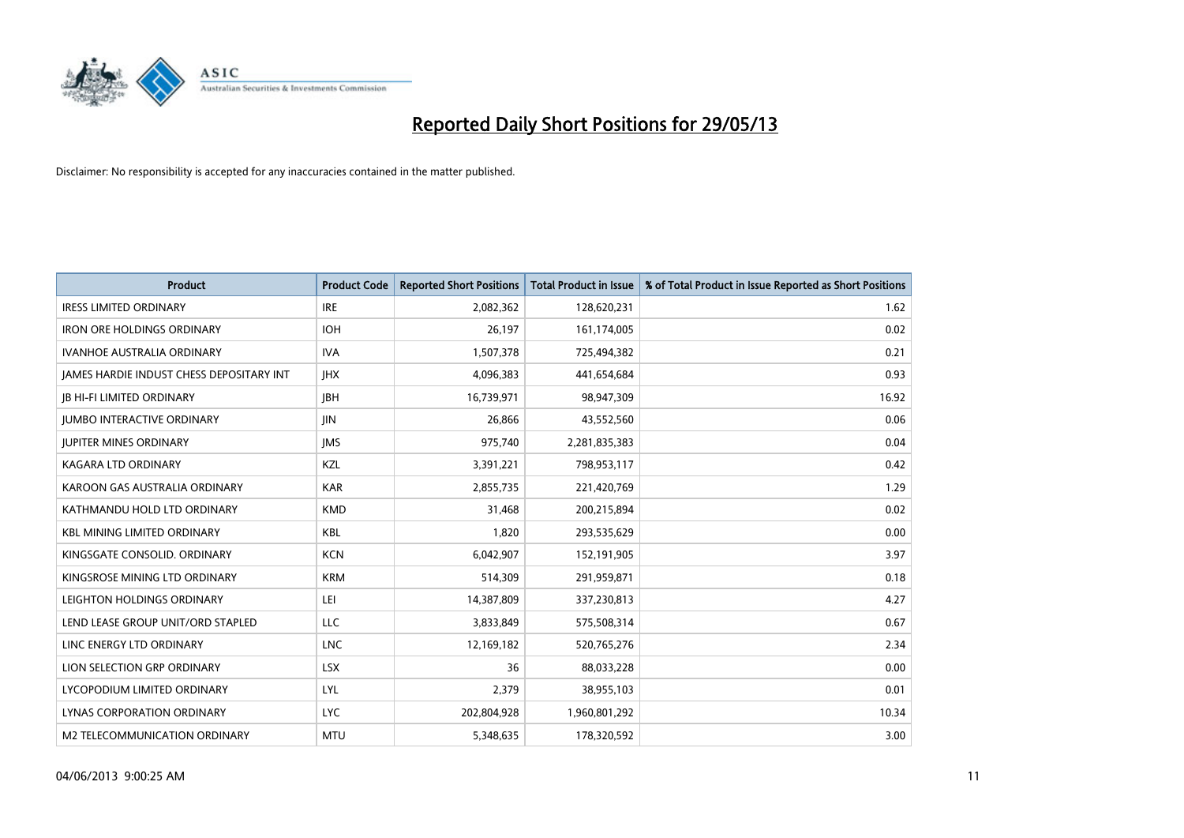

| <b>Product</b>                           | <b>Product Code</b> | <b>Reported Short Positions</b> | <b>Total Product in Issue</b> | % of Total Product in Issue Reported as Short Positions |
|------------------------------------------|---------------------|---------------------------------|-------------------------------|---------------------------------------------------------|
| <b>IRESS LIMITED ORDINARY</b>            | <b>IRE</b>          | 2,082,362                       | 128,620,231                   | 1.62                                                    |
| <b>IRON ORE HOLDINGS ORDINARY</b>        | <b>IOH</b>          | 26,197                          | 161,174,005                   | 0.02                                                    |
| <b>IVANHOE AUSTRALIA ORDINARY</b>        | <b>IVA</b>          | 1,507,378                       | 725,494,382                   | 0.21                                                    |
| JAMES HARDIE INDUST CHESS DEPOSITARY INT | <b>IHX</b>          | 4,096,383                       | 441,654,684                   | 0.93                                                    |
| <b>JB HI-FI LIMITED ORDINARY</b>         | <b>IBH</b>          | 16,739,971                      | 98,947,309                    | 16.92                                                   |
| <b>JUMBO INTERACTIVE ORDINARY</b>        | JIN.                | 26,866                          | 43,552,560                    | 0.06                                                    |
| <b>JUPITER MINES ORDINARY</b>            | <b>IMS</b>          | 975,740                         | 2,281,835,383                 | 0.04                                                    |
| <b>KAGARA LTD ORDINARY</b>               | KZL                 | 3,391,221                       | 798,953,117                   | 0.42                                                    |
| KAROON GAS AUSTRALIA ORDINARY            | <b>KAR</b>          | 2,855,735                       | 221,420,769                   | 1.29                                                    |
| KATHMANDU HOLD LTD ORDINARY              | <b>KMD</b>          | 31,468                          | 200,215,894                   | 0.02                                                    |
| <b>KBL MINING LIMITED ORDINARY</b>       | <b>KBL</b>          | 1,820                           | 293,535,629                   | 0.00                                                    |
| KINGSGATE CONSOLID. ORDINARY             | <b>KCN</b>          | 6,042,907                       | 152,191,905                   | 3.97                                                    |
| KINGSROSE MINING LTD ORDINARY            | <b>KRM</b>          | 514,309                         | 291,959,871                   | 0.18                                                    |
| LEIGHTON HOLDINGS ORDINARY               | LEI                 | 14,387,809                      | 337,230,813                   | 4.27                                                    |
| LEND LEASE GROUP UNIT/ORD STAPLED        | <b>LLC</b>          | 3,833,849                       | 575,508,314                   | 0.67                                                    |
| LINC ENERGY LTD ORDINARY                 | <b>LNC</b>          | 12,169,182                      | 520,765,276                   | 2.34                                                    |
| LION SELECTION GRP ORDINARY              | <b>LSX</b>          | 36                              | 88,033,228                    | 0.00                                                    |
| LYCOPODIUM LIMITED ORDINARY              | <b>LYL</b>          | 2,379                           | 38,955,103                    | 0.01                                                    |
| LYNAS CORPORATION ORDINARY               | <b>LYC</b>          | 202,804,928                     | 1,960,801,292                 | 10.34                                                   |
| M2 TELECOMMUNICATION ORDINARY            | <b>MTU</b>          | 5,348,635                       | 178,320,592                   | 3.00                                                    |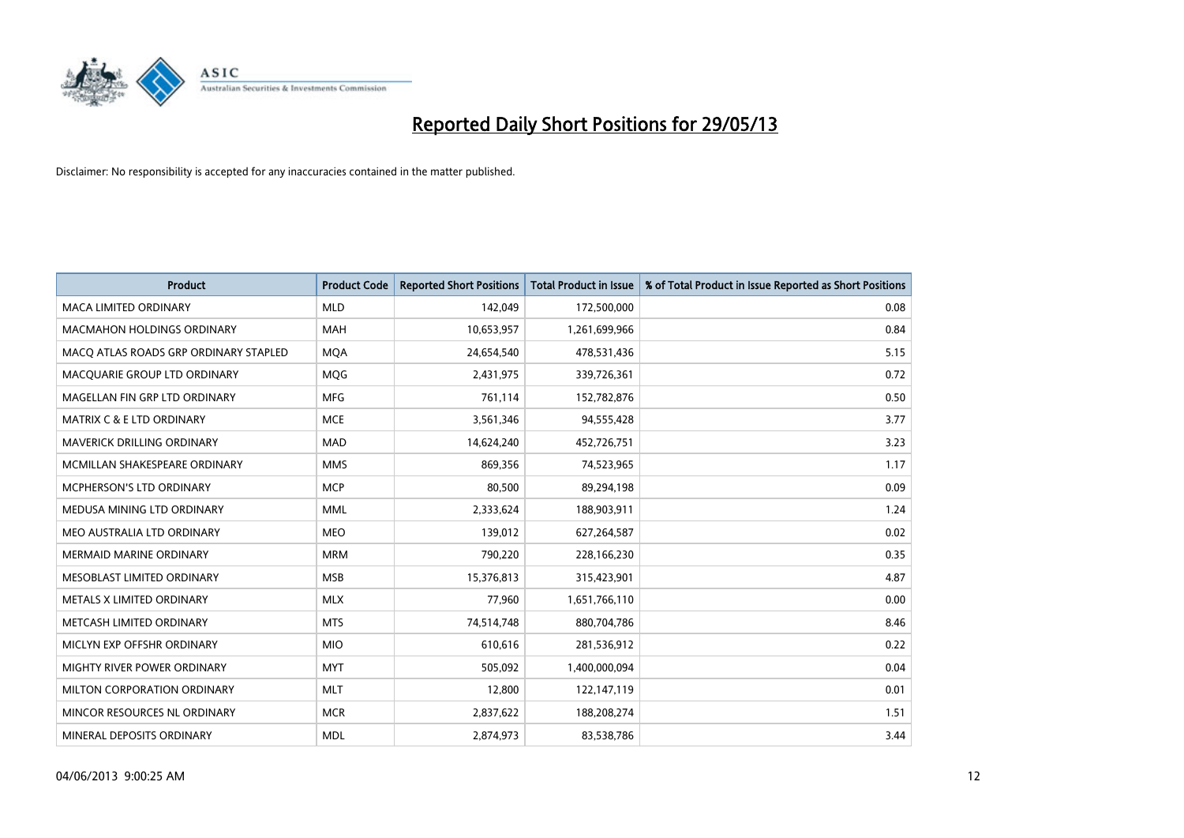

| <b>Product</b>                        | <b>Product Code</b> | <b>Reported Short Positions</b> | <b>Total Product in Issue</b> | % of Total Product in Issue Reported as Short Positions |
|---------------------------------------|---------------------|---------------------------------|-------------------------------|---------------------------------------------------------|
| <b>MACA LIMITED ORDINARY</b>          | <b>MLD</b>          | 142,049                         | 172,500,000                   | 0.08                                                    |
| <b>MACMAHON HOLDINGS ORDINARY</b>     | <b>MAH</b>          | 10,653,957                      | 1,261,699,966                 | 0.84                                                    |
| MACO ATLAS ROADS GRP ORDINARY STAPLED | <b>MQA</b>          | 24,654,540                      | 478,531,436                   | 5.15                                                    |
| MACQUARIE GROUP LTD ORDINARY          | <b>MOG</b>          | 2,431,975                       | 339,726,361                   | 0.72                                                    |
| MAGELLAN FIN GRP LTD ORDINARY         | <b>MFG</b>          | 761,114                         | 152,782,876                   | 0.50                                                    |
| <b>MATRIX C &amp; E LTD ORDINARY</b>  | <b>MCE</b>          | 3,561,346                       | 94,555,428                    | 3.77                                                    |
| <b>MAVERICK DRILLING ORDINARY</b>     | <b>MAD</b>          | 14,624,240                      | 452,726,751                   | 3.23                                                    |
| MCMILLAN SHAKESPEARE ORDINARY         | <b>MMS</b>          | 869,356                         | 74,523,965                    | 1.17                                                    |
| MCPHERSON'S LTD ORDINARY              | <b>MCP</b>          | 80,500                          | 89,294,198                    | 0.09                                                    |
| MEDUSA MINING LTD ORDINARY            | <b>MML</b>          | 2,333,624                       | 188,903,911                   | 1.24                                                    |
| MEO AUSTRALIA LTD ORDINARY            | <b>MEO</b>          | 139,012                         | 627,264,587                   | 0.02                                                    |
| MERMAID MARINE ORDINARY               | <b>MRM</b>          | 790,220                         | 228,166,230                   | 0.35                                                    |
| MESOBLAST LIMITED ORDINARY            | <b>MSB</b>          | 15,376,813                      | 315,423,901                   | 4.87                                                    |
| METALS X LIMITED ORDINARY             | <b>MLX</b>          | 77,960                          | 1,651,766,110                 | 0.00                                                    |
| METCASH LIMITED ORDINARY              | <b>MTS</b>          | 74,514,748                      | 880,704,786                   | 8.46                                                    |
| MICLYN EXP OFFSHR ORDINARY            | <b>MIO</b>          | 610,616                         | 281,536,912                   | 0.22                                                    |
| MIGHTY RIVER POWER ORDINARY           | <b>MYT</b>          | 505,092                         | 1,400,000,094                 | 0.04                                                    |
| MILTON CORPORATION ORDINARY           | <b>MLT</b>          | 12,800                          | 122,147,119                   | 0.01                                                    |
| MINCOR RESOURCES NL ORDINARY          | <b>MCR</b>          | 2,837,622                       | 188,208,274                   | 1.51                                                    |
| MINERAL DEPOSITS ORDINARY             | <b>MDL</b>          | 2,874,973                       | 83,538,786                    | 3.44                                                    |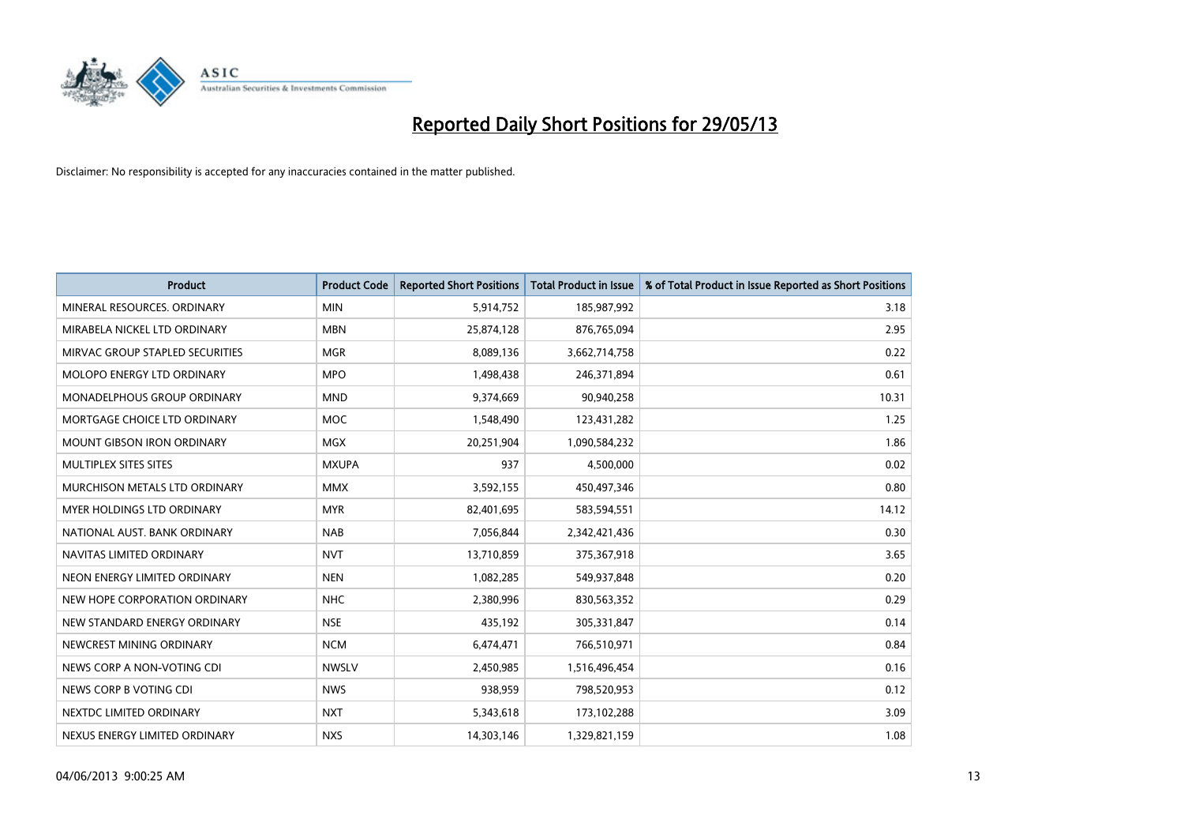

| <b>Product</b>                     | <b>Product Code</b> | <b>Reported Short Positions</b> | <b>Total Product in Issue</b> | % of Total Product in Issue Reported as Short Positions |
|------------------------------------|---------------------|---------------------------------|-------------------------------|---------------------------------------------------------|
| MINERAL RESOURCES, ORDINARY        | <b>MIN</b>          | 5,914,752                       | 185,987,992                   | 3.18                                                    |
| MIRABELA NICKEL LTD ORDINARY       | <b>MBN</b>          | 25,874,128                      | 876,765,094                   | 2.95                                                    |
| MIRVAC GROUP STAPLED SECURITIES    | <b>MGR</b>          | 8,089,136                       | 3,662,714,758                 | 0.22                                                    |
| MOLOPO ENERGY LTD ORDINARY         | <b>MPO</b>          | 1,498,438                       | 246,371,894                   | 0.61                                                    |
| <b>MONADELPHOUS GROUP ORDINARY</b> | <b>MND</b>          | 9,374,669                       | 90,940,258                    | 10.31                                                   |
| MORTGAGE CHOICE LTD ORDINARY       | <b>MOC</b>          | 1,548,490                       | 123,431,282                   | 1.25                                                    |
| <b>MOUNT GIBSON IRON ORDINARY</b>  | <b>MGX</b>          | 20,251,904                      | 1,090,584,232                 | 1.86                                                    |
| MULTIPLEX SITES SITES              | <b>MXUPA</b>        | 937                             | 4,500,000                     | 0.02                                                    |
| MURCHISON METALS LTD ORDINARY      | <b>MMX</b>          | 3,592,155                       | 450,497,346                   | 0.80                                                    |
| MYER HOLDINGS LTD ORDINARY         | <b>MYR</b>          | 82,401,695                      | 583,594,551                   | 14.12                                                   |
| NATIONAL AUST, BANK ORDINARY       | <b>NAB</b>          | 7,056,844                       | 2,342,421,436                 | 0.30                                                    |
| NAVITAS LIMITED ORDINARY           | <b>NVT</b>          | 13,710,859                      | 375,367,918                   | 3.65                                                    |
| NEON ENERGY LIMITED ORDINARY       | <b>NEN</b>          | 1,082,285                       | 549,937,848                   | 0.20                                                    |
| NEW HOPE CORPORATION ORDINARY      | <b>NHC</b>          | 2,380,996                       | 830,563,352                   | 0.29                                                    |
| NEW STANDARD ENERGY ORDINARY       | <b>NSE</b>          | 435,192                         | 305,331,847                   | 0.14                                                    |
| NEWCREST MINING ORDINARY           | <b>NCM</b>          | 6,474,471                       | 766,510,971                   | 0.84                                                    |
| NEWS CORP A NON-VOTING CDI         | <b>NWSLV</b>        | 2,450,985                       | 1,516,496,454                 | 0.16                                                    |
| NEWS CORP B VOTING CDI             | <b>NWS</b>          | 938,959                         | 798,520,953                   | 0.12                                                    |
| NEXTDC LIMITED ORDINARY            | <b>NXT</b>          | 5,343,618                       | 173,102,288                   | 3.09                                                    |
| NEXUS ENERGY LIMITED ORDINARY      | <b>NXS</b>          | 14,303,146                      | 1,329,821,159                 | 1.08                                                    |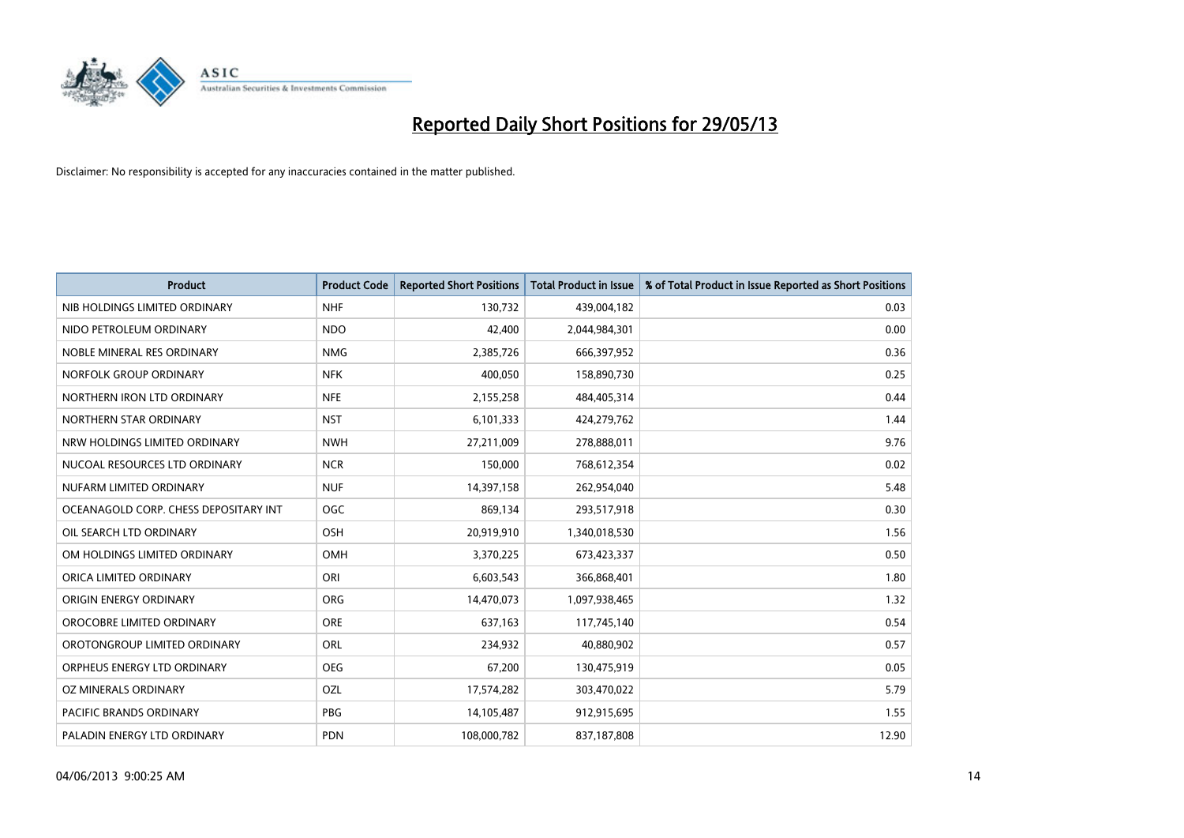

| <b>Product</b>                        | <b>Product Code</b> | <b>Reported Short Positions</b> | <b>Total Product in Issue</b> | % of Total Product in Issue Reported as Short Positions |
|---------------------------------------|---------------------|---------------------------------|-------------------------------|---------------------------------------------------------|
| NIB HOLDINGS LIMITED ORDINARY         | <b>NHF</b>          | 130,732                         | 439,004,182                   | 0.03                                                    |
| NIDO PETROLEUM ORDINARY               | <b>NDO</b>          | 42,400                          | 2,044,984,301                 | 0.00                                                    |
| NOBLE MINERAL RES ORDINARY            | <b>NMG</b>          | 2,385,726                       | 666,397,952                   | 0.36                                                    |
| NORFOLK GROUP ORDINARY                | <b>NFK</b>          | 400,050                         | 158,890,730                   | 0.25                                                    |
| NORTHERN IRON LTD ORDINARY            | <b>NFE</b>          | 2,155,258                       | 484,405,314                   | 0.44                                                    |
| NORTHERN STAR ORDINARY                | <b>NST</b>          | 6,101,333                       | 424,279,762                   | 1.44                                                    |
| NRW HOLDINGS LIMITED ORDINARY         | <b>NWH</b>          | 27,211,009                      | 278,888,011                   | 9.76                                                    |
| NUCOAL RESOURCES LTD ORDINARY         | <b>NCR</b>          | 150,000                         | 768,612,354                   | 0.02                                                    |
| NUFARM LIMITED ORDINARY               | <b>NUF</b>          | 14,397,158                      | 262,954,040                   | 5.48                                                    |
| OCEANAGOLD CORP. CHESS DEPOSITARY INT | <b>OGC</b>          | 869,134                         | 293,517,918                   | 0.30                                                    |
| OIL SEARCH LTD ORDINARY               | OSH                 | 20,919,910                      | 1,340,018,530                 | 1.56                                                    |
| OM HOLDINGS LIMITED ORDINARY          | OMH                 | 3,370,225                       | 673,423,337                   | 0.50                                                    |
| ORICA LIMITED ORDINARY                | ORI                 | 6,603,543                       | 366,868,401                   | 1.80                                                    |
| ORIGIN ENERGY ORDINARY                | <b>ORG</b>          | 14,470,073                      | 1,097,938,465                 | 1.32                                                    |
| OROCOBRE LIMITED ORDINARY             | <b>ORE</b>          | 637,163                         | 117,745,140                   | 0.54                                                    |
| OROTONGROUP LIMITED ORDINARY          | ORL                 | 234,932                         | 40,880,902                    | 0.57                                                    |
| ORPHEUS ENERGY LTD ORDINARY           | <b>OEG</b>          | 67,200                          | 130,475,919                   | 0.05                                                    |
| OZ MINERALS ORDINARY                  | OZL                 | 17,574,282                      | 303,470,022                   | 5.79                                                    |
| <b>PACIFIC BRANDS ORDINARY</b>        | <b>PBG</b>          | 14,105,487                      | 912,915,695                   | 1.55                                                    |
| PALADIN ENERGY LTD ORDINARY           | PDN                 | 108,000,782                     | 837,187,808                   | 12.90                                                   |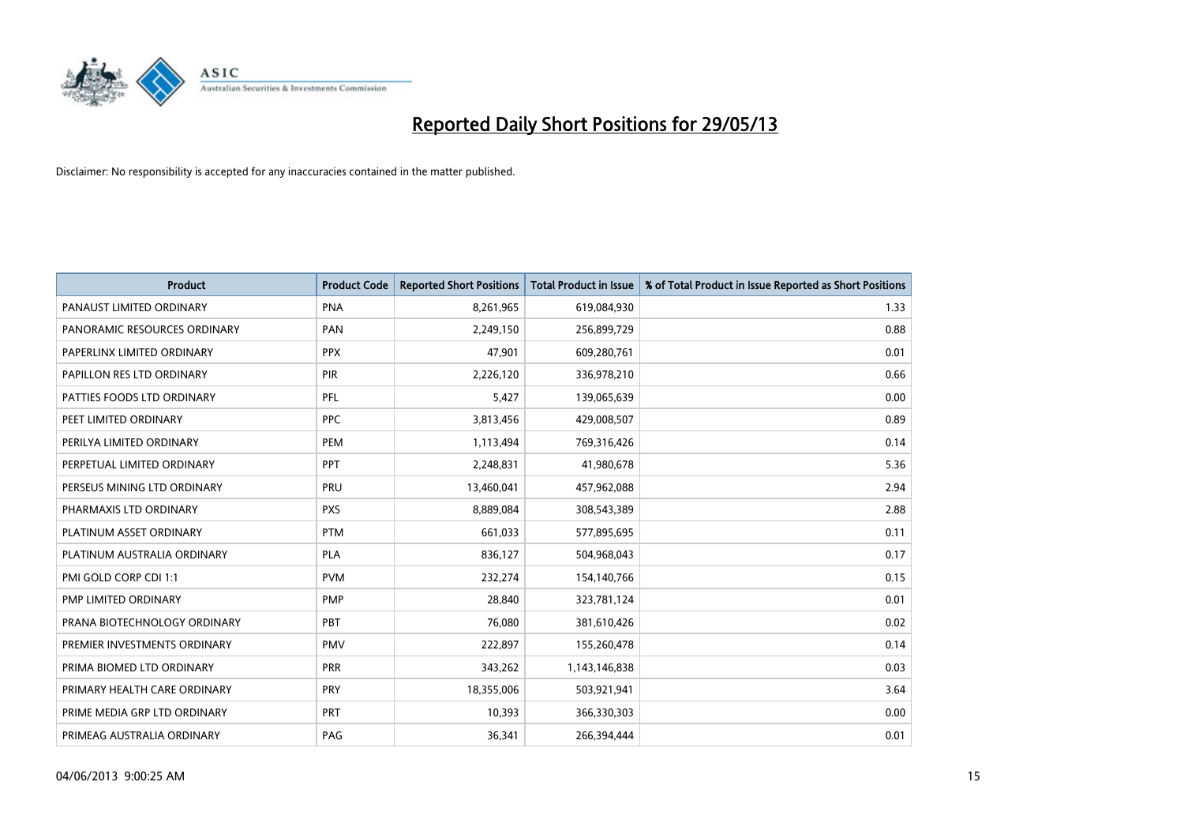

| <b>Product</b>               | <b>Product Code</b> | <b>Reported Short Positions</b> | <b>Total Product in Issue</b> | % of Total Product in Issue Reported as Short Positions |
|------------------------------|---------------------|---------------------------------|-------------------------------|---------------------------------------------------------|
| PANAUST LIMITED ORDINARY     | <b>PNA</b>          | 8,261,965                       | 619,084,930                   | 1.33                                                    |
| PANORAMIC RESOURCES ORDINARY | PAN                 | 2,249,150                       | 256,899,729                   | 0.88                                                    |
| PAPERLINX LIMITED ORDINARY   | <b>PPX</b>          | 47,901                          | 609,280,761                   | 0.01                                                    |
| PAPILLON RES LTD ORDINARY    | <b>PIR</b>          | 2,226,120                       | 336,978,210                   | 0.66                                                    |
| PATTIES FOODS LTD ORDINARY   | PFL                 | 5,427                           | 139,065,639                   | 0.00                                                    |
| PEET LIMITED ORDINARY        | <b>PPC</b>          | 3,813,456                       | 429,008,507                   | 0.89                                                    |
| PERILYA LIMITED ORDINARY     | <b>PEM</b>          | 1,113,494                       | 769,316,426                   | 0.14                                                    |
| PERPETUAL LIMITED ORDINARY   | PPT                 | 2,248,831                       | 41,980,678                    | 5.36                                                    |
| PERSEUS MINING LTD ORDINARY  | PRU                 | 13,460,041                      | 457,962,088                   | 2.94                                                    |
| PHARMAXIS LTD ORDINARY       | <b>PXS</b>          | 8,889,084                       | 308,543,389                   | 2.88                                                    |
| PLATINUM ASSET ORDINARY      | <b>PTM</b>          | 661,033                         | 577,895,695                   | 0.11                                                    |
| PLATINUM AUSTRALIA ORDINARY  | <b>PLA</b>          | 836,127                         | 504,968,043                   | 0.17                                                    |
| PMI GOLD CORP CDI 1:1        | <b>PVM</b>          | 232,274                         | 154,140,766                   | 0.15                                                    |
| PMP LIMITED ORDINARY         | <b>PMP</b>          | 28,840                          | 323,781,124                   | 0.01                                                    |
| PRANA BIOTECHNOLOGY ORDINARY | <b>PBT</b>          | 76,080                          | 381,610,426                   | 0.02                                                    |
| PREMIER INVESTMENTS ORDINARY | <b>PMV</b>          | 222,897                         | 155,260,478                   | 0.14                                                    |
| PRIMA BIOMED LTD ORDINARY    | <b>PRR</b>          | 343,262                         | 1,143,146,838                 | 0.03                                                    |
| PRIMARY HEALTH CARE ORDINARY | PRY                 | 18,355,006                      | 503,921,941                   | 3.64                                                    |
| PRIME MEDIA GRP LTD ORDINARY | <b>PRT</b>          | 10,393                          | 366,330,303                   | 0.00                                                    |
| PRIMEAG AUSTRALIA ORDINARY   | PAG                 | 36,341                          | 266,394,444                   | 0.01                                                    |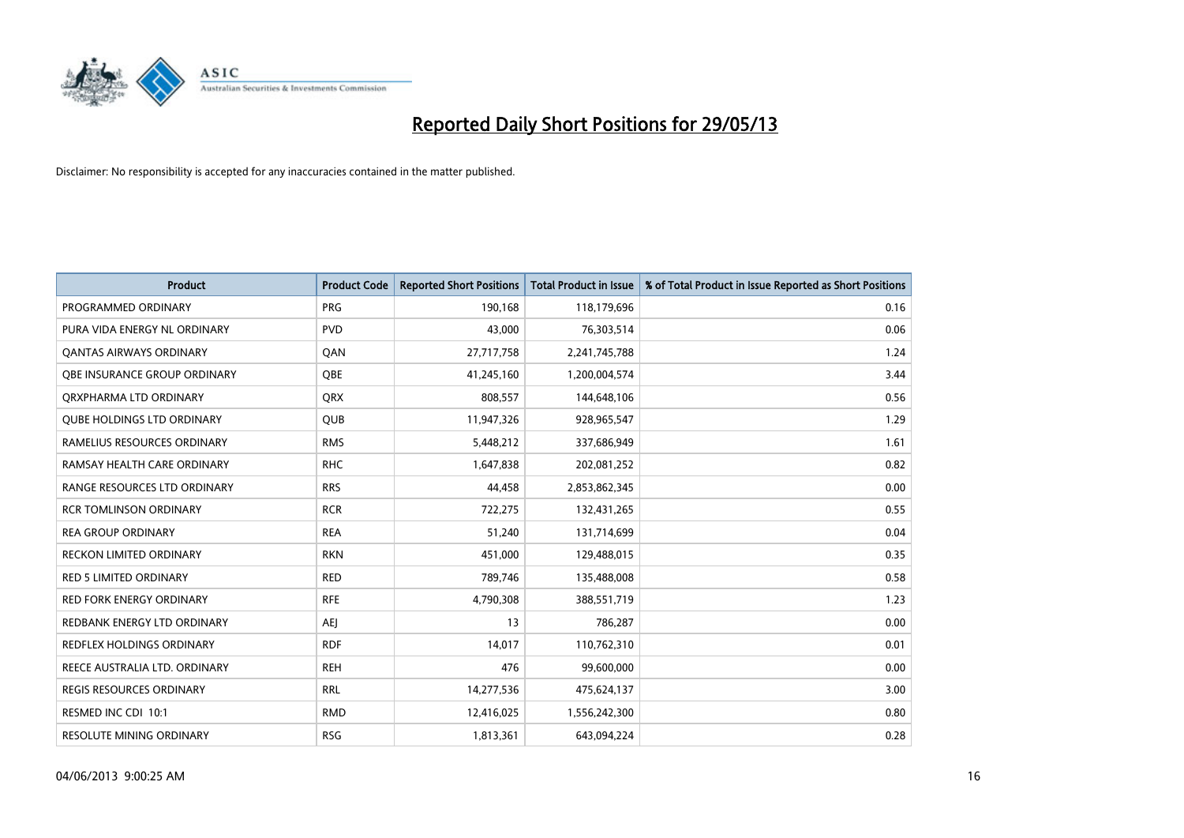

| <b>Product</b>                    | <b>Product Code</b> | <b>Reported Short Positions</b> | <b>Total Product in Issue</b> | % of Total Product in Issue Reported as Short Positions |
|-----------------------------------|---------------------|---------------------------------|-------------------------------|---------------------------------------------------------|
| PROGRAMMED ORDINARY               | <b>PRG</b>          | 190,168                         | 118,179,696                   | 0.16                                                    |
| PURA VIDA ENERGY NL ORDINARY      | <b>PVD</b>          | 43,000                          | 76,303,514                    | 0.06                                                    |
| OANTAS AIRWAYS ORDINARY           | QAN                 | 27,717,758                      | 2,241,745,788                 | 1.24                                                    |
| OBE INSURANCE GROUP ORDINARY      | <b>OBE</b>          | 41,245,160                      | 1,200,004,574                 | 3.44                                                    |
| ORXPHARMA LTD ORDINARY            | <b>ORX</b>          | 808,557                         | 144,648,106                   | 0.56                                                    |
| <b>QUBE HOLDINGS LTD ORDINARY</b> | <b>QUB</b>          | 11,947,326                      | 928,965,547                   | 1.29                                                    |
| RAMELIUS RESOURCES ORDINARY       | <b>RMS</b>          | 5,448,212                       | 337,686,949                   | 1.61                                                    |
| RAMSAY HEALTH CARE ORDINARY       | <b>RHC</b>          | 1,647,838                       | 202,081,252                   | 0.82                                                    |
| RANGE RESOURCES LTD ORDINARY      | <b>RRS</b>          | 44,458                          | 2,853,862,345                 | 0.00                                                    |
| <b>RCR TOMLINSON ORDINARY</b>     | <b>RCR</b>          | 722,275                         | 132,431,265                   | 0.55                                                    |
| <b>REA GROUP ORDINARY</b>         | <b>REA</b>          | 51,240                          | 131,714,699                   | 0.04                                                    |
| <b>RECKON LIMITED ORDINARY</b>    | <b>RKN</b>          | 451,000                         | 129,488,015                   | 0.35                                                    |
| <b>RED 5 LIMITED ORDINARY</b>     | <b>RED</b>          | 789,746                         | 135,488,008                   | 0.58                                                    |
| <b>RED FORK ENERGY ORDINARY</b>   | <b>RFE</b>          | 4,790,308                       | 388,551,719                   | 1.23                                                    |
| REDBANK ENERGY LTD ORDINARY       | <b>AEJ</b>          | 13                              | 786,287                       | 0.00                                                    |
| REDFLEX HOLDINGS ORDINARY         | <b>RDF</b>          | 14,017                          | 110,762,310                   | 0.01                                                    |
| REECE AUSTRALIA LTD. ORDINARY     | <b>REH</b>          | 476                             | 99,600,000                    | 0.00                                                    |
| <b>REGIS RESOURCES ORDINARY</b>   | <b>RRL</b>          | 14,277,536                      | 475,624,137                   | 3.00                                                    |
| RESMED INC CDI 10:1               | <b>RMD</b>          | 12,416,025                      | 1,556,242,300                 | 0.80                                                    |
| RESOLUTE MINING ORDINARY          | <b>RSG</b>          | 1,813,361                       | 643,094,224                   | 0.28                                                    |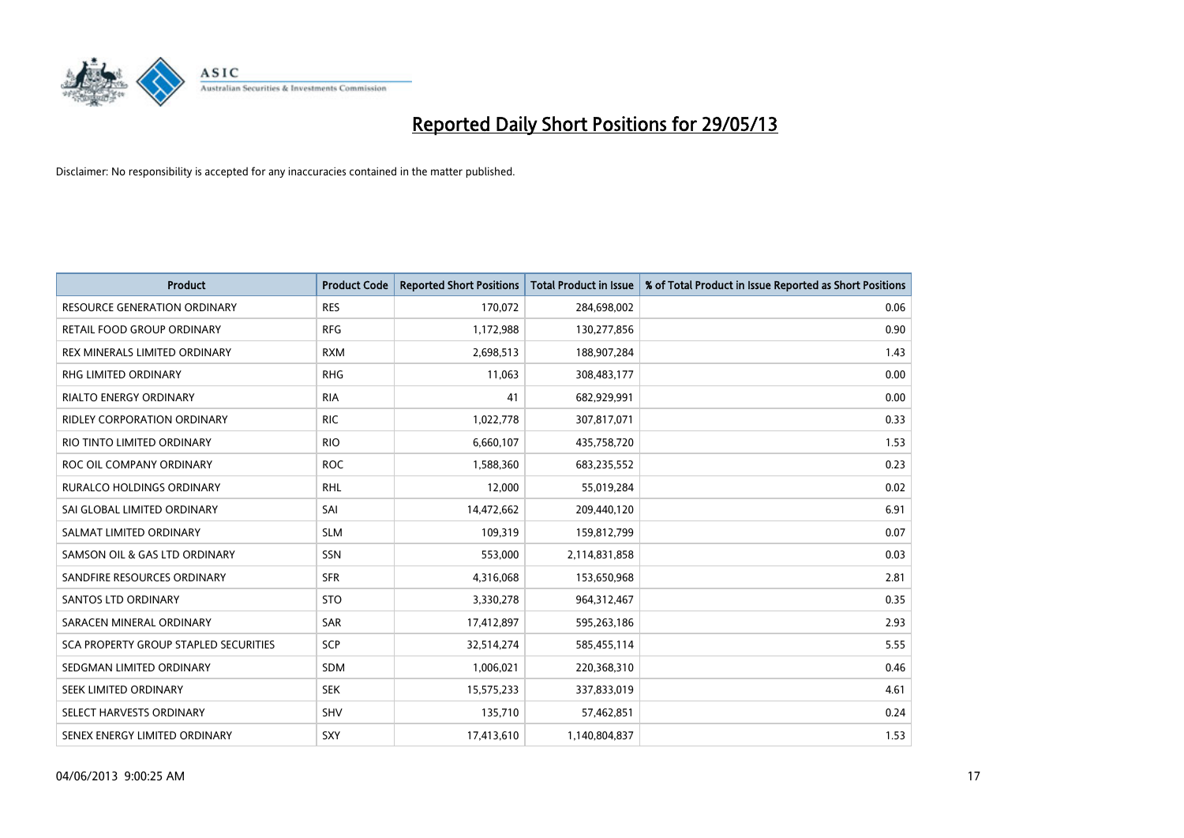

| <b>Product</b>                        | <b>Product Code</b> | <b>Reported Short Positions</b> | <b>Total Product in Issue</b> | % of Total Product in Issue Reported as Short Positions |
|---------------------------------------|---------------------|---------------------------------|-------------------------------|---------------------------------------------------------|
| <b>RESOURCE GENERATION ORDINARY</b>   | <b>RES</b>          | 170,072                         | 284,698,002                   | 0.06                                                    |
| RETAIL FOOD GROUP ORDINARY            | <b>RFG</b>          | 1,172,988                       | 130,277,856                   | 0.90                                                    |
| REX MINERALS LIMITED ORDINARY         | <b>RXM</b>          | 2,698,513                       | 188,907,284                   | 1.43                                                    |
| RHG LIMITED ORDINARY                  | <b>RHG</b>          | 11,063                          | 308,483,177                   | 0.00                                                    |
| <b>RIALTO ENERGY ORDINARY</b>         | <b>RIA</b>          | 41                              | 682,929,991                   | 0.00                                                    |
| <b>RIDLEY CORPORATION ORDINARY</b>    | <b>RIC</b>          | 1,022,778                       | 307,817,071                   | 0.33                                                    |
| RIO TINTO LIMITED ORDINARY            | <b>RIO</b>          | 6,660,107                       | 435,758,720                   | 1.53                                                    |
| ROC OIL COMPANY ORDINARY              | <b>ROC</b>          | 1,588,360                       | 683,235,552                   | 0.23                                                    |
| <b>RURALCO HOLDINGS ORDINARY</b>      | <b>RHL</b>          | 12,000                          | 55,019,284                    | 0.02                                                    |
| SAI GLOBAL LIMITED ORDINARY           | SAI                 | 14,472,662                      | 209,440,120                   | 6.91                                                    |
| SALMAT LIMITED ORDINARY               | <b>SLM</b>          | 109,319                         | 159,812,799                   | 0.07                                                    |
| SAMSON OIL & GAS LTD ORDINARY         | SSN                 | 553,000                         | 2,114,831,858                 | 0.03                                                    |
| SANDFIRE RESOURCES ORDINARY           | <b>SFR</b>          | 4,316,068                       | 153,650,968                   | 2.81                                                    |
| SANTOS LTD ORDINARY                   | <b>STO</b>          | 3,330,278                       | 964,312,467                   | 0.35                                                    |
| SARACEN MINERAL ORDINARY              | <b>SAR</b>          | 17,412,897                      | 595,263,186                   | 2.93                                                    |
| SCA PROPERTY GROUP STAPLED SECURITIES | SCP                 | 32,514,274                      | 585,455,114                   | 5.55                                                    |
| SEDGMAN LIMITED ORDINARY              | SDM                 | 1,006,021                       | 220,368,310                   | 0.46                                                    |
| SEEK LIMITED ORDINARY                 | <b>SEK</b>          | 15,575,233                      | 337,833,019                   | 4.61                                                    |
| SELECT HARVESTS ORDINARY              | SHV                 | 135,710                         | 57,462,851                    | 0.24                                                    |
| SENEX ENERGY LIMITED ORDINARY         | SXY                 | 17,413,610                      | 1,140,804,837                 | 1.53                                                    |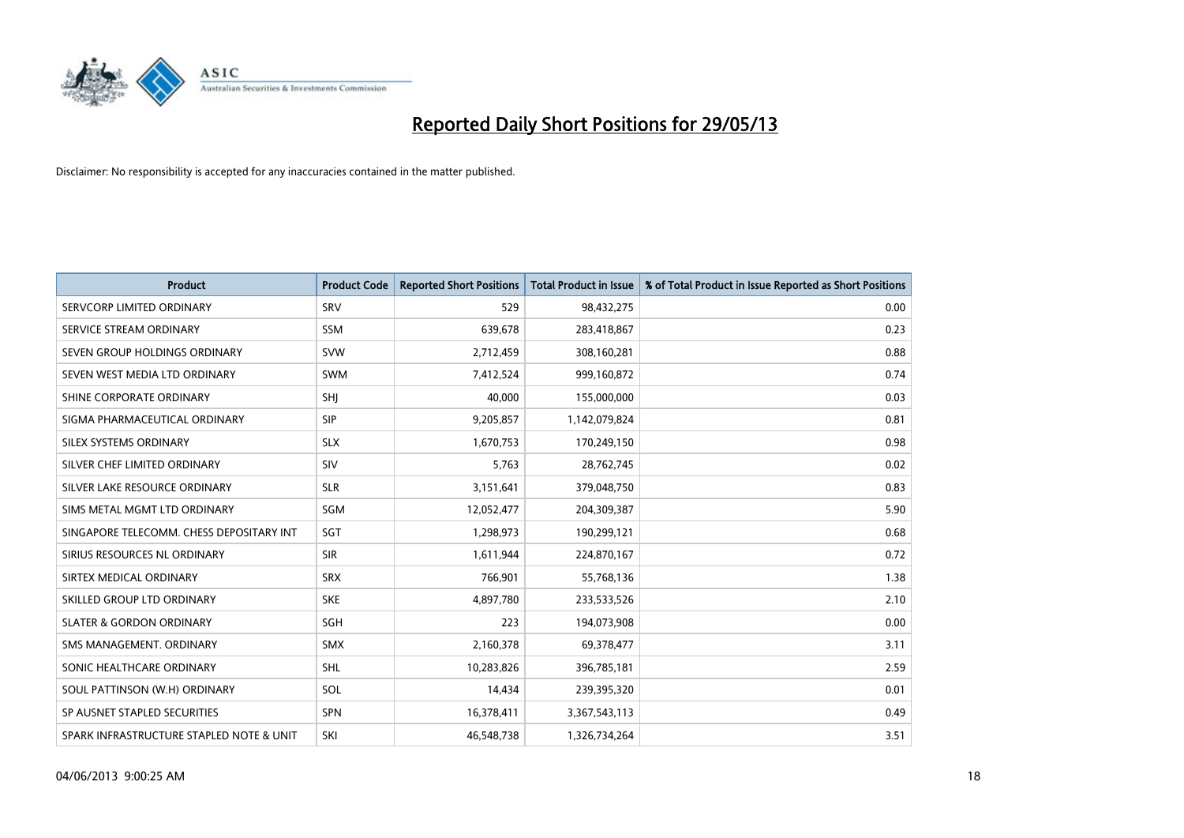

| <b>Product</b>                           | <b>Product Code</b> | <b>Reported Short Positions</b> | <b>Total Product in Issue</b> | % of Total Product in Issue Reported as Short Positions |
|------------------------------------------|---------------------|---------------------------------|-------------------------------|---------------------------------------------------------|
| SERVCORP LIMITED ORDINARY                | SRV                 | 529                             | 98,432,275                    | 0.00                                                    |
| SERVICE STREAM ORDINARY                  | SSM                 | 639,678                         | 283,418,867                   | 0.23                                                    |
| SEVEN GROUP HOLDINGS ORDINARY            | <b>SVW</b>          | 2,712,459                       | 308,160,281                   | 0.88                                                    |
| SEVEN WEST MEDIA LTD ORDINARY            | <b>SWM</b>          | 7,412,524                       | 999,160,872                   | 0.74                                                    |
| SHINE CORPORATE ORDINARY                 | SHJ                 | 40,000                          | 155,000,000                   | 0.03                                                    |
| SIGMA PHARMACEUTICAL ORDINARY            | <b>SIP</b>          | 9,205,857                       | 1,142,079,824                 | 0.81                                                    |
| SILEX SYSTEMS ORDINARY                   | <b>SLX</b>          | 1,670,753                       | 170,249,150                   | 0.98                                                    |
| SILVER CHEF LIMITED ORDINARY             | SIV                 | 5,763                           | 28,762,745                    | 0.02                                                    |
| SILVER LAKE RESOURCE ORDINARY            | <b>SLR</b>          | 3,151,641                       | 379,048,750                   | 0.83                                                    |
| SIMS METAL MGMT LTD ORDINARY             | SGM                 | 12,052,477                      | 204,309,387                   | 5.90                                                    |
| SINGAPORE TELECOMM. CHESS DEPOSITARY INT | SGT                 | 1,298,973                       | 190,299,121                   | 0.68                                                    |
| SIRIUS RESOURCES NL ORDINARY             | <b>SIR</b>          | 1,611,944                       | 224,870,167                   | 0.72                                                    |
| SIRTEX MEDICAL ORDINARY                  | <b>SRX</b>          | 766,901                         | 55,768,136                    | 1.38                                                    |
| SKILLED GROUP LTD ORDINARY               | <b>SKE</b>          | 4,897,780                       | 233,533,526                   | 2.10                                                    |
| <b>SLATER &amp; GORDON ORDINARY</b>      | SGH                 | 223                             | 194,073,908                   | 0.00                                                    |
| SMS MANAGEMENT, ORDINARY                 | <b>SMX</b>          | 2,160,378                       | 69,378,477                    | 3.11                                                    |
| SONIC HEALTHCARE ORDINARY                | <b>SHL</b>          | 10,283,826                      | 396,785,181                   | 2.59                                                    |
| SOUL PATTINSON (W.H) ORDINARY            | SOL                 | 14,434                          | 239,395,320                   | 0.01                                                    |
| SP AUSNET STAPLED SECURITIES             | <b>SPN</b>          | 16,378,411                      | 3,367,543,113                 | 0.49                                                    |
| SPARK INFRASTRUCTURE STAPLED NOTE & UNIT | SKI                 | 46,548,738                      | 1,326,734,264                 | 3.51                                                    |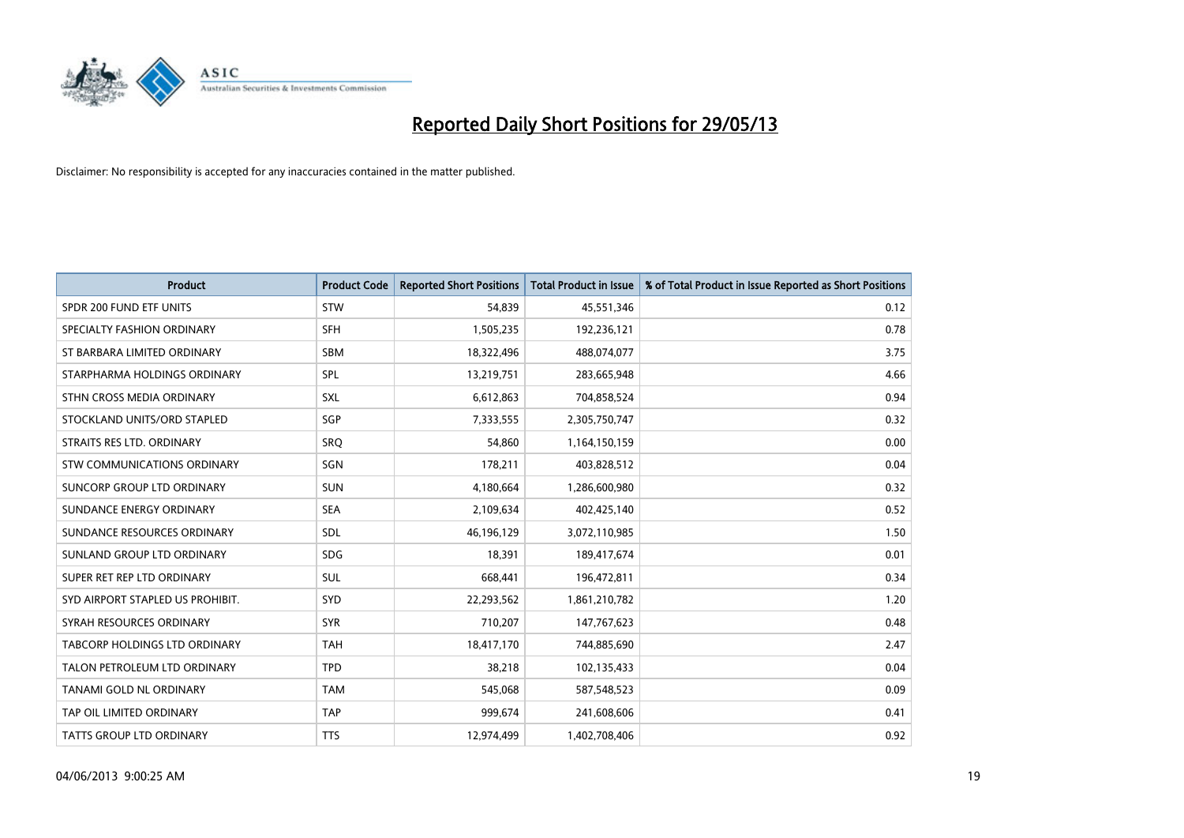

| <b>Product</b>                   | <b>Product Code</b> | <b>Reported Short Positions</b> | <b>Total Product in Issue</b> | % of Total Product in Issue Reported as Short Positions |
|----------------------------------|---------------------|---------------------------------|-------------------------------|---------------------------------------------------------|
| SPDR 200 FUND ETF UNITS          | <b>STW</b>          | 54,839                          | 45,551,346                    | 0.12                                                    |
| SPECIALTY FASHION ORDINARY       | <b>SFH</b>          | 1,505,235                       | 192,236,121                   | 0.78                                                    |
| ST BARBARA LIMITED ORDINARY      | SBM                 | 18,322,496                      | 488,074,077                   | 3.75                                                    |
| STARPHARMA HOLDINGS ORDINARY     | <b>SPL</b>          | 13,219,751                      | 283,665,948                   | 4.66                                                    |
| STHN CROSS MEDIA ORDINARY        | <b>SXL</b>          | 6,612,863                       | 704,858,524                   | 0.94                                                    |
| STOCKLAND UNITS/ORD STAPLED      | SGP                 | 7,333,555                       | 2,305,750,747                 | 0.32                                                    |
| STRAITS RES LTD. ORDINARY        | SRQ                 | 54,860                          | 1,164,150,159                 | 0.00                                                    |
| STW COMMUNICATIONS ORDINARY      | SGN                 | 178,211                         | 403,828,512                   | 0.04                                                    |
| SUNCORP GROUP LTD ORDINARY       | <b>SUN</b>          | 4,180,664                       | 1,286,600,980                 | 0.32                                                    |
| SUNDANCE ENERGY ORDINARY         | <b>SEA</b>          | 2,109,634                       | 402,425,140                   | 0.52                                                    |
| SUNDANCE RESOURCES ORDINARY      | <b>SDL</b>          | 46,196,129                      | 3,072,110,985                 | 1.50                                                    |
| SUNLAND GROUP LTD ORDINARY       | <b>SDG</b>          | 18,391                          | 189,417,674                   | 0.01                                                    |
| SUPER RET REP LTD ORDINARY       | <b>SUL</b>          | 668,441                         | 196,472,811                   | 0.34                                                    |
| SYD AIRPORT STAPLED US PROHIBIT. | SYD                 | 22,293,562                      | 1,861,210,782                 | 1.20                                                    |
| SYRAH RESOURCES ORDINARY         | <b>SYR</b>          | 710,207                         | 147,767,623                   | 0.48                                                    |
| TABCORP HOLDINGS LTD ORDINARY    | <b>TAH</b>          | 18,417,170                      | 744,885,690                   | 2.47                                                    |
| TALON PETROLEUM LTD ORDINARY     | <b>TPD</b>          | 38,218                          | 102,135,433                   | 0.04                                                    |
| TANAMI GOLD NL ORDINARY          | <b>TAM</b>          | 545,068                         | 587,548,523                   | 0.09                                                    |
| TAP OIL LIMITED ORDINARY         | <b>TAP</b>          | 999,674                         | 241,608,606                   | 0.41                                                    |
| TATTS GROUP LTD ORDINARY         | <b>TTS</b>          | 12,974,499                      | 1,402,708,406                 | 0.92                                                    |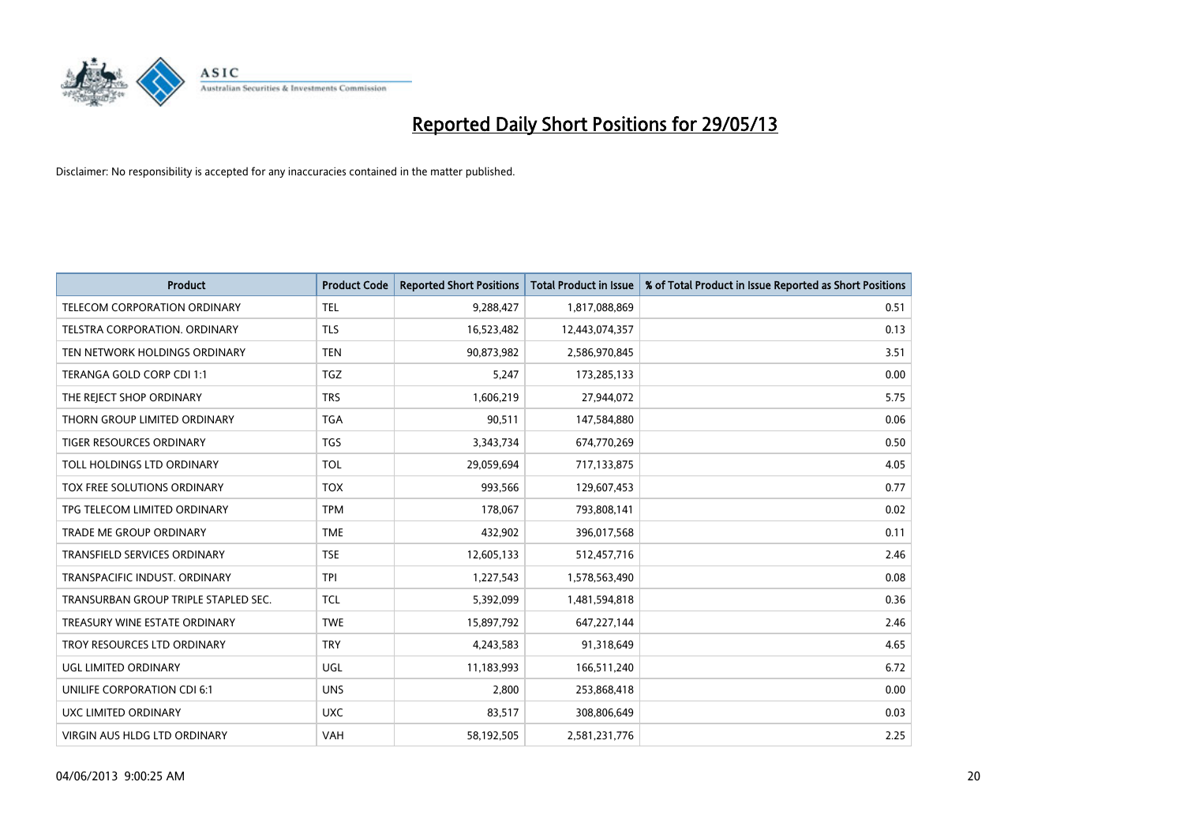

| <b>Product</b>                       | <b>Product Code</b> | <b>Reported Short Positions</b> | <b>Total Product in Issue</b> | % of Total Product in Issue Reported as Short Positions |
|--------------------------------------|---------------------|---------------------------------|-------------------------------|---------------------------------------------------------|
| <b>TELECOM CORPORATION ORDINARY</b>  | <b>TEL</b>          | 9,288,427                       | 1,817,088,869                 | 0.51                                                    |
| TELSTRA CORPORATION. ORDINARY        | <b>TLS</b>          | 16,523,482                      | 12,443,074,357                | 0.13                                                    |
| TEN NETWORK HOLDINGS ORDINARY        | <b>TEN</b>          | 90,873,982                      | 2,586,970,845                 | 3.51                                                    |
| TERANGA GOLD CORP CDI 1:1            | <b>TGZ</b>          | 5,247                           | 173,285,133                   | 0.00                                                    |
| THE REJECT SHOP ORDINARY             | <b>TRS</b>          | 1,606,219                       | 27,944,072                    | 5.75                                                    |
| THORN GROUP LIMITED ORDINARY         | <b>TGA</b>          | 90,511                          | 147,584,880                   | 0.06                                                    |
| TIGER RESOURCES ORDINARY             | <b>TGS</b>          | 3,343,734                       | 674,770,269                   | 0.50                                                    |
| TOLL HOLDINGS LTD ORDINARY           | <b>TOL</b>          | 29,059,694                      | 717,133,875                   | 4.05                                                    |
| TOX FREE SOLUTIONS ORDINARY          | <b>TOX</b>          | 993,566                         | 129,607,453                   | 0.77                                                    |
| TPG TELECOM LIMITED ORDINARY         | <b>TPM</b>          | 178,067                         | 793,808,141                   | 0.02                                                    |
| <b>TRADE ME GROUP ORDINARY</b>       | <b>TME</b>          | 432,902                         | 396,017,568                   | 0.11                                                    |
| <b>TRANSFIELD SERVICES ORDINARY</b>  | <b>TSE</b>          | 12,605,133                      | 512,457,716                   | 2.46                                                    |
| TRANSPACIFIC INDUST, ORDINARY        | <b>TPI</b>          | 1,227,543                       | 1,578,563,490                 | 0.08                                                    |
| TRANSURBAN GROUP TRIPLE STAPLED SEC. | <b>TCL</b>          | 5,392,099                       | 1,481,594,818                 | 0.36                                                    |
| TREASURY WINE ESTATE ORDINARY        | <b>TWE</b>          | 15,897,792                      | 647,227,144                   | 2.46                                                    |
| TROY RESOURCES LTD ORDINARY          | <b>TRY</b>          | 4,243,583                       | 91,318,649                    | 4.65                                                    |
| <b>UGL LIMITED ORDINARY</b>          | UGL                 | 11,183,993                      | 166,511,240                   | 6.72                                                    |
| UNILIFE CORPORATION CDI 6:1          | <b>UNS</b>          | 2,800                           | 253,868,418                   | 0.00                                                    |
| UXC LIMITED ORDINARY                 | <b>UXC</b>          | 83,517                          | 308,806,649                   | 0.03                                                    |
| VIRGIN AUS HLDG LTD ORDINARY         | <b>VAH</b>          | 58,192,505                      | 2,581,231,776                 | 2.25                                                    |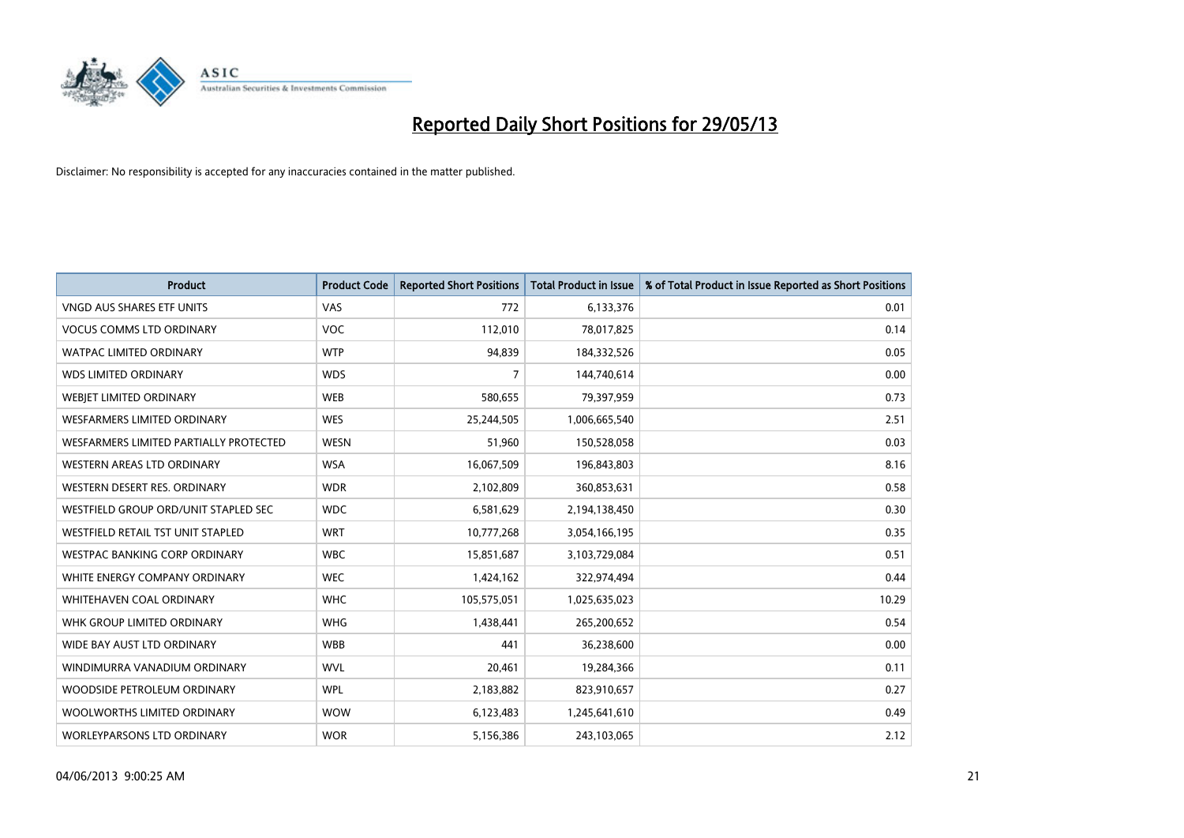

| <b>Product</b>                         | <b>Product Code</b> | <b>Reported Short Positions</b> | <b>Total Product in Issue</b> | % of Total Product in Issue Reported as Short Positions |
|----------------------------------------|---------------------|---------------------------------|-------------------------------|---------------------------------------------------------|
| <b>VNGD AUS SHARES ETF UNITS</b>       | VAS                 | 772                             | 6,133,376                     | 0.01                                                    |
| <b>VOCUS COMMS LTD ORDINARY</b>        | VOC                 | 112,010                         | 78,017,825                    | 0.14                                                    |
| <b>WATPAC LIMITED ORDINARY</b>         | <b>WTP</b>          | 94,839                          | 184,332,526                   | 0.05                                                    |
| <b>WDS LIMITED ORDINARY</b>            | <b>WDS</b>          | $\overline{7}$                  | 144,740,614                   | 0.00                                                    |
| WEBIET LIMITED ORDINARY                | <b>WEB</b>          | 580,655                         | 79,397,959                    | 0.73                                                    |
| WESFARMERS LIMITED ORDINARY            | <b>WES</b>          | 25,244,505                      | 1,006,665,540                 | 2.51                                                    |
| WESFARMERS LIMITED PARTIALLY PROTECTED | <b>WESN</b>         | 51,960                          | 150,528,058                   | 0.03                                                    |
| WESTERN AREAS LTD ORDINARY             | <b>WSA</b>          | 16,067,509                      | 196,843,803                   | 8.16                                                    |
| WESTERN DESERT RES. ORDINARY           | <b>WDR</b>          | 2,102,809                       | 360,853,631                   | 0.58                                                    |
| WESTFIELD GROUP ORD/UNIT STAPLED SEC   | <b>WDC</b>          | 6,581,629                       | 2,194,138,450                 | 0.30                                                    |
| WESTFIELD RETAIL TST UNIT STAPLED      | <b>WRT</b>          | 10,777,268                      | 3,054,166,195                 | 0.35                                                    |
| WESTPAC BANKING CORP ORDINARY          | <b>WBC</b>          | 15,851,687                      | 3,103,729,084                 | 0.51                                                    |
| WHITE ENERGY COMPANY ORDINARY          | <b>WEC</b>          | 1,424,162                       | 322,974,494                   | 0.44                                                    |
| WHITEHAVEN COAL ORDINARY               | <b>WHC</b>          | 105,575,051                     | 1,025,635,023                 | 10.29                                                   |
| WHK GROUP LIMITED ORDINARY             | <b>WHG</b>          | 1,438,441                       | 265,200,652                   | 0.54                                                    |
| WIDE BAY AUST LTD ORDINARY             | <b>WBB</b>          | 441                             | 36,238,600                    | 0.00                                                    |
| WINDIMURRA VANADIUM ORDINARY           | <b>WVL</b>          | 20,461                          | 19,284,366                    | 0.11                                                    |
| WOODSIDE PETROLEUM ORDINARY            | <b>WPL</b>          | 2,183,882                       | 823,910,657                   | 0.27                                                    |
| WOOLWORTHS LIMITED ORDINARY            | <b>WOW</b>          | 6,123,483                       | 1,245,641,610                 | 0.49                                                    |
| WORLEYPARSONS LTD ORDINARY             | <b>WOR</b>          | 5,156,386                       | 243,103,065                   | 2.12                                                    |